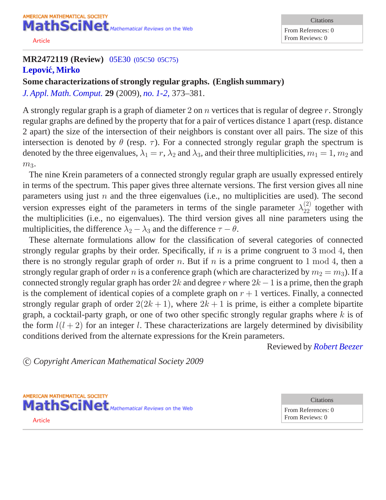AMERICAN MATHEMATICAL SOCIETY MathSciNet Mathematical Reviews on the Web

[Article](/leavingmsn?url=http://dx.doi.org/10.1007/s12190-008-0138-0)

## **MR2472119 (Review)** 05E30 [\(05C50 05C75\)](http://ams.rice.edu/mathscinet/search/mscdoc.html?code=05E30%2C%2805C50%2C05C75%29) **[Lepovic, Mirko](http://ams.rice.edu/mathscinet/search/publications.html?pg1=IID&s1=275419) ´**

**Some characterizations of strongly regular graphs. (English summary)** *[J. Appl. Math. Comput.](http://ams.rice.edu/mathscinet/search/journaldoc.html?&cn=J_Appl_Math_Comput)* **29** (2009), *[no. 1-2,](http://ams.rice.edu/mathscinet/search/publications.html?pg1=ISSI&s1=270119)* 373*–*381.

A strongly regular graph is a graph of diameter 2 on  $n$  vertices that is regular of degree  $r$ . Strongly regular graphs are defined by the property that for a pair of vertices distance 1 apart (resp. distance 2 apart) the size of the intersection of their neighbors is constant over all pairs. The size of this intersection is denoted by  $\theta$  (resp.  $\tau$ ). For a connected strongly regular graph the spectrum is denoted by the three eigenvalues,  $\lambda_1 = r$ ,  $\lambda_2$  and  $\lambda_3$ , and their three multiplicities,  $m_1 = 1$ ,  $m_2$  and  $m<sub>3</sub>$ .

The nine Krein parameters of a connected strongly regular graph are usually expressed entirely in terms of the spectrum. This paper gives three alternate versions. The first version gives all nine parameters using just  $n$  and the three eigenvalues (i.e., no multiplicities are used). The second version expresses eight of the parameters in terms of the single parameter  $\lambda_{22}^{(2)}$  together with the multiplicities (i.e., no eigenvalues). The third version gives all nine parameters using the multiplicities, the difference  $\lambda_2 - \lambda_3$  and the difference  $\tau - \theta$ .

These alternate formulations allow for the classification of several categories of connected strongly regular graphs by their order. Specifically, if  $n$  is a prime congruent to 3 mod 4, then there is no strongly regular graph of order n. But if n is a prime congruent to 1 mod 4, then a strongly regular graph of order n is a conference graph (which are characterized by  $m_2 = m_3$ ). If a connected strongly regular graph has order 2k and degree r where  $2k - 1$  is a prime, then the graph is the complement of identical copies of a complete graph on  $r + 1$  vertices. Finally, a connected strongly regular graph of order  $2(2k+1)$ , where  $2k+1$  is prime, is either a complete bipartite graph, a cocktail-party graph, or one of two other specific strongly regular graphs where  $k$  is of the form  $l(l + 2)$  for an integer l. These characterizations are largely determined by divisibility conditions derived from the alternate expressions for the Krein parameters.

Reviewed by *[Robert Beezer](http://ams.rice.edu/mathscinet/search/publications.html?pg1=IID&s1=213894)*

c *Copyright American Mathematical Society 2009*

AMERICAN MATHEMATICAL SOCIETY MathSciNet Mathematical Reviews on the Web [Article](/leavingmsn?url=http://dx.doi.org/10.1016/j.laa.2007.10.026)

**Citations** From References: 0 From Reviews: 0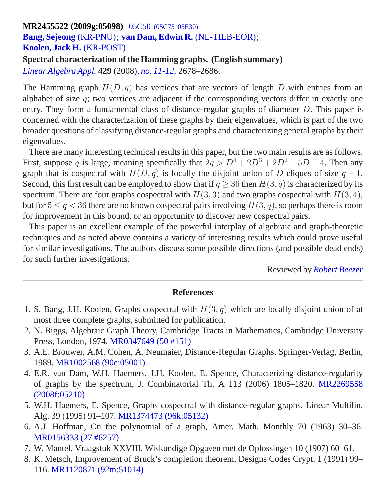## **MR2455522 (2009g:05098)** 05C50 [\(05C75 05E30\)](http://ams.rice.edu/mathscinet/search/mscdoc.html?code=05C50%2C%2805C75%2C05E30%29) **[Bang, Sejeong](http://ams.rice.edu/mathscinet/search/publications.html?pg1=IID&s1=707820)** [\(KR-PNU\)](http://ams.rice.edu/mathscinet/search/institution.html?code=KR_PNU); **[van Dam, Edwin R.](http://ams.rice.edu/mathscinet/search/publications.html?pg1=IID&s1=339071)** [\(NL-TILB-EOR\)](http://ams.rice.edu/mathscinet/search/institution.html?code=NL_TILB_EOR); **[Koolen, Jack H.](http://ams.rice.edu/mathscinet/search/publications.html?pg1=IID&s1=272570)** [\(KR-POST\)](http://ams.rice.edu/mathscinet/search/institution.html?code=KR_POST)

**Spectral characterization of the Hamming graphs. (English summary)** *[Linear Algebra Appl.](http://ams.rice.edu/mathscinet/search/journaldoc.html?&cn=Linear_Algebra_Appl)* **429** (2008), *[no. 11-12,](http://ams.rice.edu/mathscinet/search/publications.html?pg1=ISSI&s1=267298)* 2678*–*2686.

The Hamming graph  $H(D, q)$  has vertices that are vectors of length D with entries from an alphabet of size  $q$ ; two vertices are adjacent if the corresponding vectors differ in exactly one entry. They form a fundamental class of distance-regular graphs of diameter D. This paper is concerned with the characterization of these graphs by their eigenvalues, which is part of the two broader questions of classifying distance-regular graphs and characterizing general graphs by their eigenvalues.

There are many interesting technical results in this paper, but the two main results are as follows. First, suppose q is large, meaning specifically that  $2q > D^4 + 2D^3 + 2D^2 - 5D - 4$ . Then any graph that is cospectral with  $H(D, q)$  is locally the disjoint union of D cliques of size  $q - 1$ . Second, this first result can be employed to show that if  $q > 36$  then  $H(3, q)$  is characterized by its spectrum. There are four graphs cospectral with  $H(3, 3)$  and two graphs cospectral with  $H(3, 4)$ , but for  $5 \le q \le 36$  there are no known cospectral pairs involving  $H(3, q)$ , so perhaps there is room for improvement in this bound, or an opportunity to discover new cospectral pairs.

This paper is an excellent example of the powerful interplay of algebraic and graph-theoretic techniques and as noted above contains a variety of interesting results which could prove useful for similar investigations. The authors discuss some possible directions (and possible dead ends) for such further investigations.

Reviewed by *[Robert Beezer](http://ams.rice.edu/mathscinet/search/publications.html?pg1=IID&s1=213894)*

- 1. S. Bang, J.H. Koolen, Graphs cospectral with  $H(3, q)$  which are locally disjoint union of at most three complete graphs, submitted for publication.
- 2. N. Biggs, Algebraic Graph Theory, Cambridge Tracts in Mathematics, Cambridge University Press, London, 1974. [MR0347649 \(50 #151\)](/mathscinet/pdf/347649.pdf?pg1=MR&s1=50:151&loc=fromreflist)
- 3. A.E. Brouwer, A.M. Cohen, A. Neumaier, Distance-Regular Graphs, Springer-Verlag, Berlin, 1989. [MR1002568 \(90e:05001\)](/mathscinet/pdf/1002568.pdf?pg1=MR&s1=90e:05001&loc=fromreflist)
- 4. E.R. van Dam, W.H. Haemers, J.H. Koolen, E. Spence, Characterizing distance-regularity of graphs by the spectrum, J. Combinatorial Th. A 113 (2006) 1805–1820. [MR2269558](/mathscinet/pdf/2269558.pdf?pg1=MR&s1=2008f:05210&loc=fromreflist) [\(2008f:05210\)](/mathscinet/pdf/2269558.pdf?pg1=MR&s1=2008f:05210&loc=fromreflist)
- 5. W.H. Haemers, E. Spence, Graphs cospectral with distance-regular graphs, Linear Multilin. Alg. 39 (1995) 91–107. [MR1374473 \(96k:05132\)](/mathscinet/pdf/1374473.pdf?pg1=MR&s1=96k:05132&loc=fromreflist)
- 6. A.J. Hoffman, On the polynomial of a graph, Amer. Math. Monthly 70 (1963) 30–36. [MR0156333 \(27 #6257\)](/mathscinet/pdf/156333.pdf?pg1=MR&s1=27:6257&loc=fromreflist)
- 7. W. Mantel, Vraagstuk XXVIII, Wiskundige Opgaven met de Oplossingen 10 (1907) 60–61.
- 8. K. Metsch, Improvement of Bruck's completion theorem, Designs Codes Crypt. 1 (1991) 99– 116. [MR1120871 \(92m:51014\)](/mathscinet/pdf/1120871.pdf?pg1=MR&s1=92m:51014&loc=fromreflist)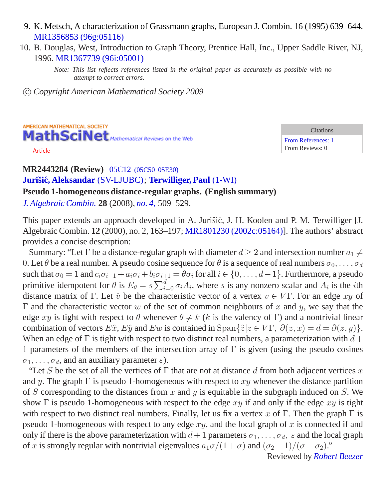- 9. K. Metsch, A characterization of Grassmann graphs, European J. Combin. 16 (1995) 639–644. [MR1356853 \(96g:05116\)](/mathscinet/pdf/1356853.pdf?pg1=MR&s1=96g:05116&loc=fromreflist)
- 10. B. Douglas, West, Introduction to Graph Theory, Prentice Hall, Inc., Upper Saddle River, NJ, 1996. [MR1367739 \(96i:05001\)](/mathscinet/pdf/1367739.pdf?pg1=MR&s1=96i:05001&loc=fromreflist)

c *Copyright American Mathematical Society 2009*



**Citations** [From References: 1](http://ams.rice.edu/mathscinet/search/publications.html?refcit=2443284&loc=refcit) From Reviews: 0

## **MR2443284 (Review)** 05C12 [\(05C50 05E30\)](http://ams.rice.edu/mathscinet/search/mscdoc.html?code=05C12%2C%2805C50%2C05E30%29) **Jurisiˇ [c, Aleksandar](http://ams.rice.edu/mathscinet/search/publications.html?pg1=IID&s1=356927) ´** [\(SV-LJUBC\)](http://ams.rice.edu/mathscinet/search/institution.html?code=SV_LJUBC); **[Terwilliger, Paul](http://ams.rice.edu/mathscinet/search/publications.html?pg1=IID&s1=171720)** [\(1-WI\)](http://ams.rice.edu/mathscinet/search/institution.html?code=1_WI)

**Pseudo 1-homogeneous distance-regular graphs. (English summary)**

*[J. Algebraic Combin.](http://ams.rice.edu/mathscinet/search/journaldoc.html?&cn=J_Algebraic_Combin)* **28** (2008), *[no. 4,](http://ams.rice.edu/mathscinet/search/publications.html?pg1=ISSI&s1=266644)* 509*–*529.

This paper extends an approach developed in A. Jurišić, J. H. Koolen and P. M. Terwilliger [J. Algebraic Combin. **12** (2000), no. 2, 163–197; [MR1801230 \(2002c:05164\)\]](http://ams.rice.edu/mathscinet/pdf/1801230.pdf). The authors' abstract provides a concise description:

Summary: "Let  $\Gamma$  be a distance-regular graph with diameter  $d \geq 2$  and intersection number  $a_1 \neq a_2$ 0. Let  $\theta$  be a real number. A pseudo cosine sequence for  $\theta$  is a sequence of real numbers  $\sigma_0, \ldots, \sigma_d$ such that  $\sigma_0 = 1$  and  $c_i \sigma_{i-1} + a_i \sigma_i + b_i \sigma_{i+1} = \theta \sigma_i$  for all  $i \in \{0, \ldots, d-1\}$ . Furthermore, a pseudo primitive idempotent for  $\theta$  is  $E_{\theta} = s \sum_{i=0}^{d} \sigma_i A_i$ , where s is any nonzero scalar and  $A_i$  is the *i*th distance matrix of Γ. Let  $\hat{v}$  be the characteristic vector of a vertex  $v \in V\Gamma$ . For an edge  $xy$  of  $Γ$  and the characteristic vector w of the set of common neighbours of x and y, we say that the edge xy is tight with respect to  $\theta$  whenever  $\theta \neq k$  (k is the valency of Γ) and a nontrivial linear combination of vectors  $E\hat{x}$ ,  $E\hat{y}$  and  $Ew$  is contained in  $\text{Span}\{\hat{z}|z \in V\Gamma$ ,  $\partial(z, x) = d = \partial(z, y)\}.$ When an edge of  $\Gamma$  is tight with respect to two distinct real numbers, a parameterization with  $d +$ 1 parameters of the members of the intersection array of  $\Gamma$  is given (using the pseudo cosines  $\sigma_1, \ldots, \sigma_d$ , and an auxiliary parameter  $\varepsilon$ ).

"Let S be the set of all the vertices of  $\Gamma$  that are not at distance d from both adjacent vertices x and y. The graph  $\Gamma$  is pseudo 1-homogeneous with respect to xy whenever the distance partition of S corresponding to the distances from x and y is equitable in the subgraph induced on S. We show  $\Gamma$  is pseudo 1-homogeneous with respect to the edge  $xy$  if and only if the edge  $xy$  is tight with respect to two distinct real numbers. Finally, let us fix a vertex x of  $\Gamma$ . Then the graph  $\Gamma$  is pseudo 1-homogeneous with respect to any edge  $xy$ , and the local graph of x is connected if and only if there is the above parameterization with  $d+1$  parameters  $\sigma_1, \ldots, \sigma_d$ ,  $\varepsilon$  and the local graph of x is strongly regular with nontrivial eigenvalues  $a_1\sigma/(1+\sigma)$  and  $(\sigma_2-1)/(\sigma-\sigma_2)$ ."

Reviewed by *[Robert Beezer](http://ams.rice.edu/mathscinet/search/publications.html?pg1=IID&s1=213894)*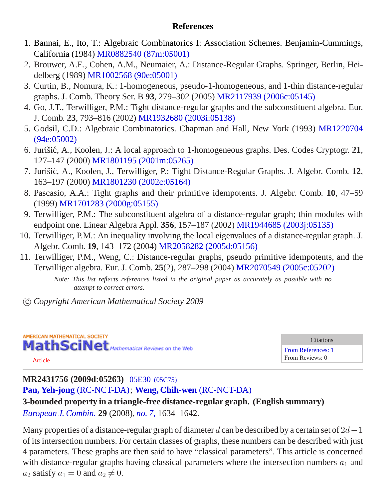## **References**

- 1. Bannai, E., Ito, T.: Algebraic Combinatorics I: Association Schemes. Benjamin-Cummings, California (1984) [MR0882540 \(87m:05001\)](/mathscinet/pdf/882540.pdf?pg1=MR&s1=87m:05001&loc=fromreflist)
- 2. Brouwer, A.E., Cohen, A.M., Neumaier, A.: Distance-Regular Graphs. Springer, Berlin, Heidelberg (1989) [MR1002568 \(90e:05001\)](/mathscinet/pdf/1002568.pdf?pg1=MR&s1=90e:05001&loc=fromreflist)
- 3. Curtin, B., Nomura, K.: 1-homogeneous, pseudo-1-homogeneous, and 1-thin distance-regular graphs. J. Comb. Theory Ser. B **93**, 279–302 (2005) [MR2117939 \(2006c:05145\)](/mathscinet/pdf/2117939.pdf?pg1=MR&s1=2006c:05145&loc=fromreflist)
- 4. Go, J.T., Terwilliger, P.M.: Tight distance-regular graphs and the subconstituent algebra. Eur. J. Comb. **23**, 793–816 (2002) [MR1932680 \(2003i:05138\)](/mathscinet/pdf/1932680.pdf?pg1=MR&s1=2003i:05138&loc=fromreflist)
- 5. Godsil, C.D.: Algebraic Combinatorics. Chapman and Hall, New York (1993) [MR1220704](/mathscinet/pdf/1220704.pdf?pg1=MR&s1=94e:05002&loc=fromreflist) [\(94e:05002\)](/mathscinet/pdf/1220704.pdf?pg1=MR&s1=94e:05002&loc=fromreflist)
- 6. Jurišić, A., Koolen, J.: A local approach to 1-homogeneous graphs. Des. Codes Cryptogr. 21, 127–147 (2000) [MR1801195 \(2001m:05265\)](/mathscinet/pdf/1801195.pdf?pg1=MR&s1=2001m:05265&loc=fromreflist)
- 7. Jurišić, A., Koolen, J., Terwilliger, P.: Tight Distance-Regular Graphs. J. Algebr. Comb. 12, 163–197 (2000) [MR1801230 \(2002c:05164\)](/mathscinet/pdf/1801230.pdf?pg1=MR&s1=2002c:05164&loc=fromreflist)
- 8. Pascasio, A.A.: Tight graphs and their primitive idempotents. J. Algebr. Comb. **10**, 47–59 (1999) [MR1701283 \(2000g:05155\)](/mathscinet/pdf/1701283.pdf?pg1=MR&s1=2000g:05155&loc=fromreflist)
- 9. Terwilliger, P.M.: The subconstituent algebra of a distance-regular graph; thin modules with endpoint one. Linear Algebra Appl. **356**, 157–187 (2002) [MR1944685 \(2003j:05135\)](/mathscinet/pdf/1944685.pdf?pg1=MR&s1=2003j:05135&loc=fromreflist)
- 10. Terwilliger, P.M.: An inequality involving the local eigenvalues of a distance-regular graph. J. Algebr. Comb. **19**, 143–172 (2004) [MR2058282 \(2005d:05156\)](/mathscinet/pdf/2058282.pdf?pg1=MR&s1=2005d:05156&loc=fromreflist)
- 11. Terwilliger, P.M., Weng, C.: Distance-regular graphs, pseudo primitive idempotents, and the Terwilliger algebra. Eur. J. Comb. **25**(2), 287–298 (2004) [MR2070549 \(2005c:05202\)](/mathscinet/pdf/2070549.pdf?pg1=MR&s1=2005c:05202&loc=fromreflist)

*Note: This list reflects references listed in the original paper as accurately as possible with no attempt to correct errors.*

c *Copyright American Mathematical Society 2009*



**Citations** [From References: 1](http://ams.rice.edu/mathscinet/search/publications.html?refcit=2431756&loc=refcit) From Reviews: 0

# **MR2431756 (2009d:05263)** 05E30 [\(05C75\)](http://ams.rice.edu/mathscinet/search/mscdoc.html?code=05E30%2C%2805C75%29)

**[Pan, Yeh-jong](http://ams.rice.edu/mathscinet/search/publications.html?pg1=IID&s1=829128)** [\(RC-NCT-DA\)](http://ams.rice.edu/mathscinet/search/institution.html?code=RC_NCT_DA); **[Weng, Chih-wen](http://ams.rice.edu/mathscinet/search/publications.html?pg1=IID&s1=364887)** [\(RC-NCT-DA\)](http://ams.rice.edu/mathscinet/search/institution.html?code=RC_NCT_DA)

**3-bounded property in a triangle-free distance-regular graph. (English summary)** *[European J. Combin.](http://ams.rice.edu/mathscinet/search/journaldoc.html?&cn=European_J_Combin)* **29** (2008), *[no. 7,](http://ams.rice.edu/mathscinet/search/publications.html?pg1=ISSI&s1=265102)* 1634*–*1642.

Many properties of a distance-regular graph of diameter d can be described by a certain set of  $2d-1$ of its intersection numbers. For certain classes of graphs, these numbers can be described with just 4 parameters. These graphs are then said to have "classical parameters". This article is concerned with distance-regular graphs having classical parameters where the intersection numbers  $a_1$  and  $a_2$  satisfy  $a_1 = 0$  and  $a_2 \neq 0$ .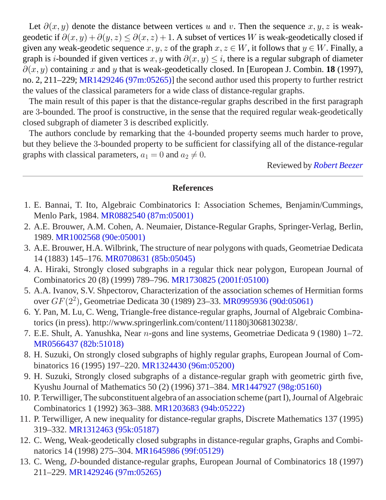Let  $\partial(x, y)$  denote the distance between vertices u and v. Then the sequence  $x, y, z$  is weakgeodetic if  $\partial(x, y) + \partial(y, z) \leq \partial(x, z) + 1$ . A subset of vertices W is weak-geodetically closed if given any weak-geodetic sequence  $x, y, z$  of the graph  $x, z \in W$ , it follows that  $y \in W$ . Finally, a graph is *i*-bounded if given vertices x, y with  $\partial(x, y) \leq i$ , there is a regular subgraph of diameter  $\partial(x, y)$  containing x and y that is weak-geodetically closed. In [European J. Combin. **18** (1997), no. 2, 211–229; [MR1429246 \(97m:05265\)](http://ams.rice.edu/mathscinet/pdf/1429246.pdf)] the second author used this property to further restrict the values of the classical parameters for a wide class of distance-regular graphs.

The main result of this paper is that the distance-regular graphs described in the first paragraph are 3-bounded. The proof is constructive, in the sense that the required regular weak-geodetically closed subgraph of diameter 3 is described explicitly.

The authors conclude by remarking that the 4-bounded property seems much harder to prove, but they believe the 3-bounded property to be sufficient for classifying all of the distance-regular graphs with classical parameters,  $a_1 = 0$  and  $a_2 \neq 0$ .

Reviewed by *[Robert Beezer](http://ams.rice.edu/mathscinet/search/publications.html?pg1=IID&s1=213894)*

- 1. E. Bannai, T. Ito, Algebraic Combinatorics I: Association Schemes, Benjamin/Cummings, Menlo Park, 1984. [MR0882540 \(87m:05001\)](/mathscinet/pdf/882540.pdf?pg1=MR&s1=87m:05001&loc=fromreflist)
- 2. A.E. Brouwer, A.M. Cohen, A. Neumaier, Distance-Regular Graphs, Springer-Verlag, Berlin, 1989. [MR1002568 \(90e:05001\)](/mathscinet/pdf/1002568.pdf?pg1=MR&s1=90e:05001&loc=fromreflist)
- 3. A.E. Brouwer, H.A. Wilbrink, The structure of near polygons with quads, Geometriae Dedicata 14 (1883) 145–176. [MR0708631 \(85b:05045\)](/mathscinet/pdf/708631.pdf?pg1=MR&s1=85b:05045&loc=fromreflist)
- 4. A. Hiraki, Strongly closed subgraphs in a regular thick near polygon, European Journal of Combinatorics 20 (8) (1999) 789–796. [MR1730825 \(2001f:05100\)](/mathscinet/pdf/1730825.pdf?pg1=MR&s1=2001f:05100&loc=fromreflist)
- 5. A.A. Ivanov, S.V. Shpectorov, Characterization of the association schemes of Hermitian forms over  $GF(2^2)$ , Geometriae Dedicata 30 (1989) 23–33. [MR0995936 \(90d:05061\)](/mathscinet/pdf/995936.pdf?pg1=MR&s1=90d:05061&loc=fromreflist)
- 6. Y. Pan, M. Lu, C. Weng, Triangle-free distance-regular graphs, Journal of Algebraic Combinatorics (in press). http://www.springerlink.com/content/11180j3068130238/.
- 7. E.E. Shult, A. Yanushka, Near n-gons and line systems, Geometriae Dedicata 9 (1980) 1–72. [MR0566437 \(82b:51018\)](/mathscinet/pdf/566437.pdf?pg1=MR&s1=82b:51018&loc=fromreflist)
- 8. H. Suzuki, On strongly closed subgraphs of highly regular graphs, European Journal of Combinatorics 16 (1995) 197–220. [MR1324430 \(96m:05200\)](/mathscinet/pdf/1324430.pdf?pg1=MR&s1=96m:05200&loc=fromreflist)
- 9. H. Suzuki, Strongly closed subgraphs of a distance-regular graph with geometric girth five, Kyushu Journal of Mathematics 50 (2) (1996) 371–384. [MR1447927 \(98g:05160\)](/mathscinet/pdf/1447927.pdf?pg1=MR&s1=98g:05160&loc=fromreflist)
- 10. P. Terwilliger, The subconstituent algebra of an association scheme (part I), Journal of Algebraic Combinatorics 1 (1992) 363–388. [MR1203683 \(94b:05222\)](/mathscinet/pdf/1203683.pdf?pg1=MR&s1=94b:05222&loc=fromreflist)
- 11. P. Terwilliger, A new inequality for distance-regular graphs, Discrete Mathematics 137 (1995) 319–332. [MR1312463 \(95k:05187\)](/mathscinet/pdf/1312463.pdf?pg1=MR&s1=95k:05187&loc=fromreflist)
- 12. C. Weng, Weak-geodetically closed subgraphs in distance-regular graphs, Graphs and Combinatorics 14 (1998) 275–304. [MR1645986 \(99f:05129\)](/mathscinet/pdf/1645986.pdf?pg1=MR&s1=99f:05129&loc=fromreflist)
- 13. C. Weng, D-bounded distance-regular graphs, European Journal of Combinatorics 18 (1997) 211–229. [MR1429246 \(97m:05265\)](/mathscinet/pdf/1429246.pdf?pg1=MR&s1=97m:05265&loc=fromreflist)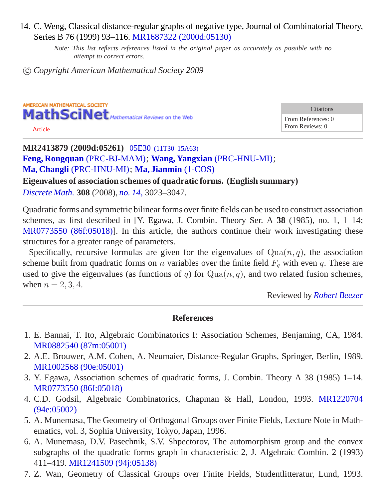14. C. Weng, Classical distance-regular graphs of negative type, Journal of Combinatorial Theory, Series B 76 (1999) 93–116. [MR1687322 \(2000d:05130\)](/mathscinet/pdf/1687322.pdf?pg1=MR&s1=2000d:05130&loc=fromreflist)

*Note: This list reflects references listed in the original paper as accurately as possible with no attempt to correct errors.*

c *Copyright American Mathematical Society 2009*

AMERICAN MATHEMATICAL SOCIETY MathSciNet Mathematical Reviews on the Web [Article](/leavingmsn?url=http://dx.doi.org/10.1016/j.disc.2007.08.027)

**Citations** From References: 0 From Reviews: 0

**MR2413879 (2009d:05261)** 05E30 [\(11T30 15A63\)](http://ams.rice.edu/mathscinet/search/mscdoc.html?code=05E30%2C%2811T30%2C15A63%29) **[Feng, Rongquan](http://ams.rice.edu/mathscinet/search/publications.html?pg1=IID&s1=333810)** [\(PRC-BJ-MAM\)](http://ams.rice.edu/mathscinet/search/institution.html?code=PRC_BJ_MAM); **[Wang, Yangxian](http://ams.rice.edu/mathscinet/search/publications.html?pg1=IID&s1=252745)** [\(PRC-HNU-MI\)](http://ams.rice.edu/mathscinet/search/institution.html?code=PRC_HNU_MI); **[Ma, Changli](http://ams.rice.edu/mathscinet/search/publications.html?pg1=IID&s1=643447)** [\(PRC-HNU-MI\)](http://ams.rice.edu/mathscinet/search/institution.html?code=PRC_HNU_MI); **[Ma, Jianmin](http://ams.rice.edu/mathscinet/search/publications.html?pg1=IID&s1=608621)** [\(1-COS\)](http://ams.rice.edu/mathscinet/search/institution.html?code=1_COS)

**Eigenvalues of association schemes of quadratic forms. (English summary)**

*[Discrete Math.](http://ams.rice.edu/mathscinet/search/journaldoc.html?&cn=Discrete_Math)* **308** (2008), *[no. 14,](http://ams.rice.edu/mathscinet/search/publications.html?pg1=ISSI&s1=263484)* 3023*–*3047.

Quadratic forms and symmetric bilinear forms over finite fields can be used to construct association schemes, as first described in [Y. Egawa, J. Combin. Theory Ser. A **38** (1985), no. 1, 1–14; [MR0773550 \(86f:05018\)](http://ams.rice.edu/mathscinet/pdf/773550.pdf)]. In this article, the authors continue their work investigating these structures for a greater range of parameters.

Specifically, recursive formulas are given for the eigenvalues of  $Qua(n, q)$ , the association scheme built from quadratic forms on n variables over the finite field  $F_q$  with even q. These are used to give the eigenvalues (as functions of q) for  $Qua(n, q)$ , and two related fusion schemes, when  $n = 2, 3, 4$ .

Reviewed by *[Robert Beezer](http://ams.rice.edu/mathscinet/search/publications.html?pg1=IID&s1=213894)*

- 1. E. Bannai, T. Ito, Algebraic Combinatorics I: Association Schemes, Benjaming, CA, 1984. [MR0882540 \(87m:05001\)](/mathscinet/pdf/882540.pdf?pg1=MR&s1=87m:05001&loc=fromreflist)
- 2. A.E. Brouwer, A.M. Cohen, A. Neumaier, Distance-Regular Graphs, Springer, Berlin, 1989. [MR1002568 \(90e:05001\)](/mathscinet/pdf/1002568.pdf?pg1=MR&s1=90e:05001&loc=fromreflist)
- 3. Y. Egawa, Association schemes of quadratic forms, J. Combin. Theory A 38 (1985) 1–14. [MR0773550 \(86f:05018\)](/mathscinet/pdf/773550.pdf?pg1=MR&s1=86f:05018&loc=fromreflist)
- 4. C.D. Godsil, Algebraic Combinatorics, Chapman & Hall, London, 1993. [MR1220704](/mathscinet/pdf/1220704.pdf?pg1=MR&s1=94e:05002&loc=fromreflist) [\(94e:05002\)](/mathscinet/pdf/1220704.pdf?pg1=MR&s1=94e:05002&loc=fromreflist)
- 5. A. Munemasa, The Geometry of Orthogonal Groups over Finite Fields, Lecture Note in Mathematics, vol. 3, Sophia University, Tokyo, Japan, 1996.
- 6. A. Munemasa, D.V. Pasechnik, S.V. Shpectorov, The automorphism group and the convex subgraphs of the quadratic forms graph in characteristic 2, J. Algebraic Combin. 2 (1993) 411–419. [MR1241509 \(94j:05138\)](/mathscinet/pdf/1241509.pdf?pg1=MR&s1=94j:05138&loc=fromreflist)
- 7. Z. Wan, Geometry of Classical Groups over Finite Fields, Studentlitteratur, Lund, 1993.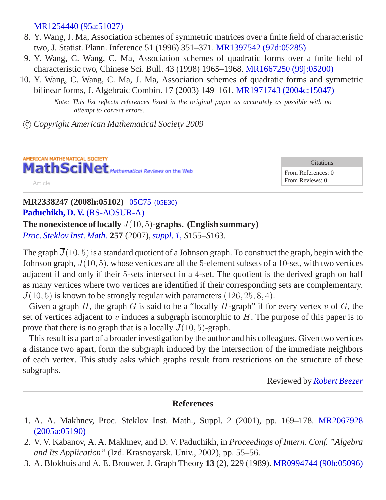[MR1254440 \(95a:51027\)](/mathscinet/pdf/1254440.pdf?pg1=MR&s1=95a:51027&loc=fromreflist)

- 8. Y. Wang, J. Ma, Association schemes of symmetric matrices over a finite field of characteristic two, J. Statist. Plann. Inference 51 (1996) 351–371. [MR1397542 \(97d:05285\)](/mathscinet/pdf/1397542.pdf?pg1=MR&s1=97d:05285&loc=fromreflist)
- 9. Y. Wang, C. Wang, C. Ma, Association schemes of quadratic forms over a finite field of characteristic two, Chinese Sci. Bull. 43 (1998) 1965–1968. [MR1667250 \(99j:05200\)](/mathscinet/pdf/1667250.pdf?pg1=MR&s1=99j:05200&loc=fromreflist)
- 10. Y. Wang, C. Wang, C. Ma, J. Ma, Association schemes of quadratic forms and symmetric bilinear forms, J. Algebraic Combin. 17 (2003) 149–161. [MR1971743 \(2004c:15047\)](/mathscinet/pdf/1971743.pdf?pg1=MR&s1=2004c:15047&loc=fromreflist)

*Note: This list reflects references listed in the original paper as accurately as possible with no attempt to correct errors.*

c *Copyright American Mathematical Society 2009*



**Citations** From References: 0 From Reviews: 0

#### **MR2338247 (2008h:05102)** [05C75](http://ams.rice.edu/mathscinet/search/mscdoc.html?code=05C75%2C%2805E30%29) (05E30) **[Paduchikh, D. V.](http://ams.rice.edu/mathscinet/search/publications.html?pg1=IID&s1=626593)** [\(RS-AOSUR-A\)](http://ams.rice.edu/mathscinet/search/institution.html?code=RS_AOSUR_A)

The nonexistence of locally  $\overline{J}(10, 5)$ **-graphs.** (English summary)

*[Proc. Steklov Inst. Math.](http://ams.rice.edu/mathscinet/search/journaldoc.html?&cn=Proc_Steklov_Inst_Math)* **257** (2007),*[suppl. 1,](http://ams.rice.edu/mathscinet/search/publications.html?pg1=ISSI&s1=255896) S*155*–S*163.

The graph  $\overline{J}(10, 5)$  is a standard quotient of a Johnson graph. To construct the graph, begin with the Johnson graph,  $J(10, 5)$ , whose vertices are all the 5-element subsets of a 10-set, with two vertices adjacent if and only if their 5-sets intersect in a 4-set. The quotient is the derived graph on half as many vertices where two vertices are identified if their corresponding sets are complementary.  $\overline{J}(10, 5)$  is known to be strongly regular with parameters (126, 25, 8, 4).

Given a graph H, the graph G is said to be a "locally H-graph" if for every vertex  $v$  of G, the set of vertices adjacent to v induces a subgraph isomorphic to  $H$ . The purpose of this paper is to prove that there is no graph that is a locally  $\overline{J}(10, 5)$ -graph.

This result is a part of a broader investigation by the author and his colleagues. Given two vertices a distance two apart, form the subgraph induced by the intersection of the immediate neighbors of each vertex. This study asks which graphs result from restrictions on the structure of these subgraphs.

Reviewed by *[Robert Beezer](http://ams.rice.edu/mathscinet/search/publications.html?pg1=IID&s1=213894)*

- 1. A. A. Makhnev, Proc. Steklov Inst. Math., Suppl. 2 (2001), pp. 169–178. [MR2067928](/mathscinet/pdf/2067928.pdf?pg1=MR&s1=2005a:05190&loc=fromreflist) [\(2005a:05190\)](/mathscinet/pdf/2067928.pdf?pg1=MR&s1=2005a:05190&loc=fromreflist)
- 2. V. V. Kabanov, A. A. Makhnev, and D. V. Paduchikh, in *Proceedings of Intern. Conf. "Algebra and Its Application"* (Izd. Krasnoyarsk. Univ., 2002), pp. 55–56.
- 3. A. Blokhuis and A. E. Brouwer, J. Graph Theory **13** (2), 229 (1989). [MR0994744 \(90h:05096\)](/mathscinet/pdf/994744.pdf?pg1=MR&s1=90h:05096&loc=fromreflist)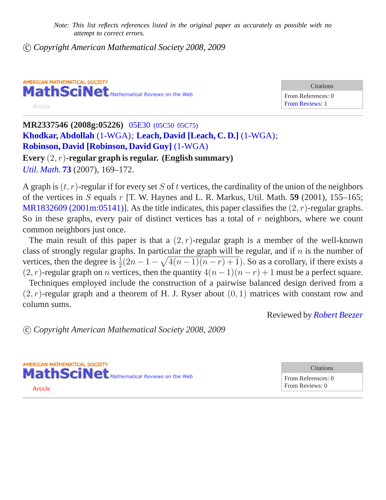c *Copyright American Mathematical Society 2008, 2009*

AMERICAN MATHEMATICAL SOCIETY MathSciNet Mathematical Reviews on the Web Article

**Citations** From References: 0 [From Reviews: 1](http://ams.rice.edu/mathscinet/search/publications.html?revcit=2337546&loc=revcit)

**MR2337546 (2008g:05226)** 05E30 [\(05C50 05C75\)](http://ams.rice.edu/mathscinet/search/mscdoc.html?code=05E30%2C%2805C50%2C05C75%29) **[Khodkar, Abdollah](http://ams.rice.edu/mathscinet/search/publications.html?pg1=IID&s1=331749)** [\(1-WGA\)](http://ams.rice.edu/mathscinet/search/institution.html?code=1_WGA); **[Leach, David](http://ams.rice.edu/mathscinet/search/publications.html?pg1=IID&s1=684867) [\[Leach, C. D.\]](http://ams.rice.edu/mathscinet/search/publications.html?pg1=IID&s1=684867)** [\(1-WGA\)](http://ams.rice.edu/mathscinet/search/institution.html?code=1_WGA); **[Robinson, David](http://ams.rice.edu/mathscinet/search/publications.html?pg1=IID&s1=363232) [\[Robinson, David Guy\]](http://ams.rice.edu/mathscinet/search/publications.html?pg1=IID&s1=363232)** [\(1-WGA\)](http://ams.rice.edu/mathscinet/search/institution.html?code=1_WGA)

**Every** (2, r)**-regular graph is regular. (English summary)** *[Util. Math.](http://ams.rice.edu/mathscinet/search/journaldoc.html?&cn=Util_Math)* **[73](http://ams.rice.edu/mathscinet/search/publications.html?pg1=ISSI&s1=254410)** (2007), 169*–*172.

A graph is  $(t, r)$ -regular if for every set S of t vertices, the cardinality of the union of the neighbors of the vertices in S equals r [T. W. Haynes and L. R. Markus, Util. Math. **59** (2001), 155–165; [MR1832609 \(2001m:05141\)](http://ams.rice.edu/mathscinet/pdf/1832609.pdf)]. As the title indicates, this paper classifies the  $(2, r)$ -regular graphs. So in these graphs, every pair of distinct vertices has a total of  $r$  neighbors, where we count common neighbors just once.

The main result of this paper is that a  $(2, r)$ -regular graph is a member of the well-known class of strongly regular graphs. In particular the graph will be regular, and if  $n$  is the number of vertices, then the degree is  $\frac{1}{2}(2n - 1 - \sqrt{4(n-1)(n-r)+1})$ . So as a corollary, if there exists a  $(2, r)$ -regular graph on *n* vertices, then the quantity  $4(n - 1)(n - r) + 1$  must be a perfect square.

Techniques employed include the construction of a pairwise balanced design derived from a  $(2, r)$ -regular graph and a theorem of H. J. Ryser about  $(0, 1)$  matrices with constant row and column sums.

Reviewed by *[Robert Beezer](http://ams.rice.edu/mathscinet/search/publications.html?pg1=IID&s1=213894)*

c *Copyright American Mathematical Society 2008, 2009*

AMERICAN MATHEMATICAL SOCIETY MathSciNet Mathematical Reviews on the Web [Article](/leavingmsn?url=http://dx.doi.org/10.1016/j.disc.2005.10.009)

**Citations** From References: 0 From Reviews: 0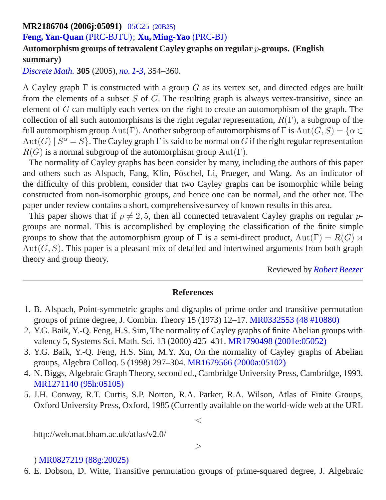## **MR2186704 (2006j:05091)** 05C25 [\(20B25\)](http://ams.rice.edu/mathscinet/search/mscdoc.html?code=05C25%2C%2820B25%29)

## **[Feng, Yan-Quan](http://ams.rice.edu/mathscinet/search/publications.html?pg1=IID&s1=290699)** [\(PRC-BJTU\)](http://ams.rice.edu/mathscinet/search/institution.html?code=PRC_BJTU); **[Xu, Ming-Yao](http://ams.rice.edu/mathscinet/search/publications.html?pg1=IID&s1=203971)** [\(PRC-BJ\)](http://ams.rice.edu/mathscinet/search/institution.html?code=PRC_BJ)

## **Automorphism groups of tetravalent Cayley graphs on regular** p**-groups. (English summary)**

*[Discrete Math.](http://ams.rice.edu/mathscinet/search/journaldoc.html?&cn=Discrete_Math)* **305** (2005), *[no. 1-3,](http://ams.rice.edu/mathscinet/search/publications.html?pg1=ISSI&s1=237489)* 354*–*360.

A Cayley graph  $\Gamma$  is constructed with a group G as its vertex set, and directed edges are built from the elements of a subset  $S$  of  $G$ . The resulting graph is always vertex-transitive, since an element of G can multiply each vertex on the right to create an automorphism of the graph. The collection of all such automorphisms is the right regular representation,  $R(\Gamma)$ , a subgroup of the full automorphism group  $Aut(\Gamma)$ . Another subgroup of automorphisms of  $\Gamma$  is  $Aut(G, S) = \{ \alpha \in$  $Aut(G) | S^{\alpha} = S$ . The Cayley graph  $\Gamma$  is said to be normal on G if the right regular representation  $R(G)$  is a normal subgroup of the automorphism group  $Aut(\Gamma)$ .

The normality of Cayley graphs has been consider by many, including the authors of this paper and others such as Alspach, Fang, Klin, Pöschel, Li, Praeger, and Wang. As an indicator of the difficulty of this problem, consider that two Cayley graphs can be isomorphic while being constructed from non-isomorphic groups, and hence one can be normal, and the other not. The paper under review contains a short, comprehensive survey of known results in this area.

This paper shows that if  $p \neq 2, 5$ , then all connected tetravalent Cayley graphs on regular pgroups are normal. This is accomplished by employing the classification of the finite simple groups to show that the automorphism group of  $\Gamma$  is a semi-direct product,  $Aut(\Gamma) = R(G) \rtimes$  $Aut(G, S)$ . This paper is a pleasant mix of detailed and intertwined arguments from both graph theory and group theory.

Reviewed by *[Robert Beezer](http://ams.rice.edu/mathscinet/search/publications.html?pg1=IID&s1=213894)*

### **References**

- 1. B. Alspach, Point-symmetric graphs and digraphs of prime order and transitive permutation groups of prime degree, J. Combin. Theory 15 (1973) 12–17. [MR0332553 \(48 #10880\)](/mathscinet/pdf/332553.pdf?pg1=MR&s1=48:10880&loc=fromreflist)
- 2. Y.G. Baik, Y.-Q. Feng, H.S. Sim, The normality of Cayley graphs of finite Abelian groups with valency 5, Systems Sci. Math. Sci. 13 (2000) 425–431. [MR1790498 \(2001e:05052\)](/mathscinet/pdf/1790498.pdf?pg1=MR&s1=2001e:05052&loc=fromreflist)
- 3. Y.G. Baik, Y.-Q. Feng, H.S. Sim, M.Y. Xu, On the normality of Cayley graphs of Abelian groups, Algebra Colloq. 5 (1998) 297–304. [MR1679566 \(2000a:05102\)](/mathscinet/pdf/1679566.pdf?pg1=MR&s1=2000a:05102&loc=fromreflist)
- 4. N. Biggs, Algebraic Graph Theory, second ed., Cambridge University Press, Cambridge, 1993. [MR1271140 \(95h:05105\)](/mathscinet/pdf/1271140.pdf?pg1=MR&s1=95h:05105&loc=fromreflist)
- 5. J.H. Conway, R.T. Curtis, S.P. Norton, R.A. Parker, R.A. Wilson, Atlas of Finite Groups, Oxford University Press, Oxford, 1985 (Currently available on the world-wide web at the URL

http://web.mat.bham.ac.uk/atlas/v2.0/

 $>$ 

 $<\,$ 

#### ) [MR0827219 \(88g:20025\)](/mathscinet/pdf/827219.pdf?pg1=MR&s1=88g:20025&loc=fromreflist)

<sup>6.</sup> E. Dobson, D. Witte, Transitive permutation groups of prime-squared degree, J. Algebraic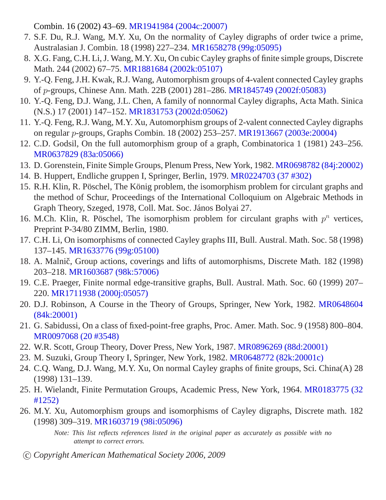Combin. 16 (2002) 43–69. [MR1941984 \(2004c:20007\)](/mathscinet/pdf/1941984.pdf?pg1=MR&s1=2004c:20007&loc=fromreflist)

- 7. S.F. Du, R.J. Wang, M.Y. Xu, On the normality of Cayley digraphs of order twice a prime, Australasian J. Combin. 18 (1998) 227–234. [MR1658278 \(99g:05095\)](/mathscinet/pdf/1658278.pdf?pg1=MR&s1=99g:05095&loc=fromreflist)
- 8. X.G. Fang, C.H. Li, J. Wang, M.Y. Xu, On cubic Cayley graphs of finite simple groups, Discrete Math. 244 (2002) 67–75. [MR1881684 \(2002k:05107\)](/mathscinet/pdf/1881684.pdf?pg1=MR&s1=2002k:05107&loc=fromreflist)
- 9. Y.-Q. Feng, J.H. Kwak, R.J. Wang, Automorphism groups of 4-valent connected Cayley graphs of p-groups, Chinese Ann. Math. 22B (2001) 281–286. [MR1845749 \(2002f:05083\)](/mathscinet/pdf/1845749.pdf?pg1=MR&s1=2002f:05083&loc=fromreflist)
- 10. Y.-Q. Feng, D.J. Wang, J.L. Chen, A family of nonnormal Cayley digraphs, Acta Math. Sinica (N.S.) 17 (2001) 147–152. [MR1831753 \(2002d:05062\)](/mathscinet/pdf/1831753.pdf?pg1=MR&s1=2002d:05062&loc=fromreflist)
- 11. Y.-Q. Feng, R.J. Wang, M.Y. Xu, Automorphism groups of 2-valent connected Cayley digraphs on regular p-groups, Graphs Combin. 18 (2002) 253–257. [MR1913667 \(2003e:20004\)](/mathscinet/pdf/1913667.pdf?pg1=MR&s1=2003e:20004&loc=fromreflist)
- 12. C.D. Godsil, On the full automorphism group of a graph, Combinatorica 1 (1981) 243–256. [MR0637829 \(83a:05066\)](/mathscinet/pdf/637829.pdf?pg1=MR&s1=83a:05066&loc=fromreflist)
- 13. D. Gorenstein, Finite Simple Groups, Plenum Press, New York, 1982. [MR0698782 \(84j:20002\)](/mathscinet/pdf/698782.pdf?pg1=MR&s1=84j:20002&loc=fromreflist)
- 14. B. Huppert, Endliche gruppen I, Springer, Berlin, 1979. [MR0224703 \(37 #302\)](/mathscinet/pdf/224703.pdf?pg1=MR&s1=37:302&loc=fromreflist)
- 15. R.H. Klin, R. Pöschel, The König problem, the isomorphism problem for circulant graphs and the method of Schur, Proceedings of the International Colloquium on Algebraic Methods in Graph Theory, Szeged, 1978, Coll. Mat. Soc. János Bolyai 27.
- 16. M.Ch. Klin, R. Pöschel, The isomorphism problem for circulant graphs with  $p^n$  vertices, Preprint P-34/80 ZIMM, Berlin, 1980.
- 17. C.H. Li, On isomorphisms of connected Cayley graphs III, Bull. Austral. Math. Soc. 58 (1998) 137–145. [MR1633776 \(99g:05100\)](/mathscinet/pdf/1633776.pdf?pg1=MR&s1=99g:05100&loc=fromreflist)
- 18. A. Malnič, Group actions, coverings and lifts of automorphisms, Discrete Math. 182 (1998) 203–218. [MR1603687 \(98k:57006\)](/mathscinet/pdf/1603687.pdf?pg1=MR&s1=98k:57006&loc=fromreflist)
- 19. C.E. Praeger, Finite normal edge-transitive graphs, Bull. Austral. Math. Soc. 60 (1999) 207– 220. [MR1711938 \(2000j:05057\)](/mathscinet/pdf/1711938.pdf?pg1=MR&s1=2000j:05057&loc=fromreflist)
- 20. D.J. Robinson, A Course in the Theory of Groups, Springer, New York, 1982. [MR0648604](/mathscinet/pdf/648604.pdf?pg1=MR&s1=84k:20001&loc=fromreflist) [\(84k:20001\)](/mathscinet/pdf/648604.pdf?pg1=MR&s1=84k:20001&loc=fromreflist)
- 21. G. Sabidussi, On a class of fixed-point-free graphs, Proc. Amer. Math. Soc. 9 (1958) 800–804. [MR0097068 \(20 #3548\)](/mathscinet/pdf/97068.pdf?pg1=MR&s1=20:3548&loc=fromreflist)
- 22. W.R. Scott, Group Theory, Dover Press, New York, 1987. [MR0896269 \(88d:20001\)](/mathscinet/pdf/896269.pdf?pg1=MR&s1=88d:20001&loc=fromreflist)
- 23. M. Suzuki, Group Theory I, Springer, New York, 1982. [MR0648772 \(82k:20001c\)](/mathscinet/pdf/648772.pdf?pg1=MR&s1=82k:20001c&loc=fromreflist)
- 24. C.Q. Wang, D.J. Wang, M.Y. Xu, On normal Cayley graphs of finite groups, Sci. China(A) 28 (1998) 131–139.
- 25. H. Wielandt, Finite Permutation Groups, Academic Press, New York, 1964. [MR0183775 \(32](/mathscinet/pdf/183775.pdf?pg1=MR&s1=32:1252&loc=fromreflist) [#1252\)](/mathscinet/pdf/183775.pdf?pg1=MR&s1=32:1252&loc=fromreflist)
- 26. M.Y. Xu, Automorphism groups and isomorphisms of Cayley digraphs, Discrete math. 182 (1998) 309–319. [MR1603719 \(98i:05096\)](/mathscinet/pdf/1603719.pdf?pg1=MR&s1=98i:05096&loc=fromreflist)

*Note: This list reflects references listed in the original paper as accurately as possible with no attempt to correct errors.*

c *Copyright American Mathematical Society 2006, 2009*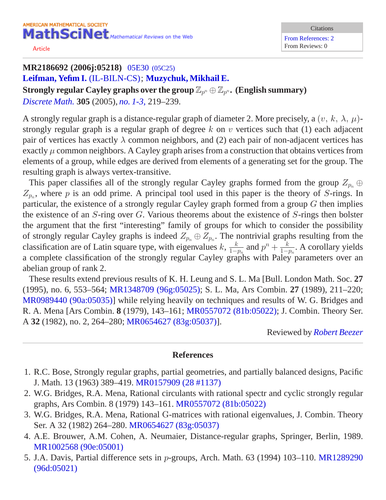[Article](/leavingmsn?url=http://dx.doi.org/10.1016/j.disc.2005.06.027)

## **MR2186692 (2006j:05218)** 05E30 [\(05C25\)](http://ams.rice.edu/mathscinet/search/mscdoc.html?code=05E30%2C%2805C25%29) **[Leifman, Yefim I.](http://ams.rice.edu/mathscinet/search/publications.html?pg1=IID&s1=774052)** [\(IL-BILN-CS\)](http://ams.rice.edu/mathscinet/search/institution.html?code=IL_BILN_CS); **[Muzychuk, Mikhail E.](http://ams.rice.edu/mathscinet/search/publications.html?pg1=IID&s1=249196)**  $\mathbf{Strongly}\ \textbf{regular} \ \mathbf{Cayley}\ \textbf{graphs}\ \textbf{over}\ \textbf{the}\ \textbf{group}\ \mathbb{Z}_{p^n} \oplus \mathbb{Z}_{p^n}$  .  $(\mathbf{English}\ \textbf{summary})$ *[Discrete Math.](http://ams.rice.edu/mathscinet/search/journaldoc.html?&cn=Discrete_Math)* **305** (2005), *[no. 1-3,](http://ams.rice.edu/mathscinet/search/publications.html?pg1=ISSI&s1=237489)* 219*–*239.

A strongly regular graph is a distance-regular graph of diameter 2. More precisely, a  $(v, k, \lambda, \mu)$ strongly regular graph is a regular graph of degree k on v vertices such that  $(1)$  each adjacent pair of vertices has exactly  $\lambda$  common neighbors, and (2) each pair of non-adjacent vertices has exactly  $\mu$  common neighbors. A Cayley graph arises from a construction that obtains vertices from elements of a group, while edges are derived from elements of a generating set for the group. The

resulting graph is always vertex-transitive.

This paper classifies all of the strongly regular Cayley graphs formed from the group  $Z_{p_n} \oplus$  $Z_{p_n}$ , where p is an odd prime. A principal tool used in this paper is the theory of S-rings. In particular, the existence of a strongly regular Cayley graph formed from a group  $G$  then implies the existence of an S-ring over G. Various theorems about the existence of S-rings then bolster the argument that the first "interesting" family of groups for which to consider the possibility of strongly regular Cayley graphs is indeed  $Z_{p_n} \oplus Z_{p_n}$ . The nontrivial graphs resulting from the classification are of Latin square type, with eigenvalues  $k, \frac{k}{1-k}$  $\frac{k}{1-p_n}$  and  $p^n + \frac{k}{1-p}$  $\frac{k}{1-p_n}$ . A corollary yields a complete classification of the strongly regular Cayley graphs with Paley parameters over an abelian group of rank 2.

These results extend previous results of K. H. Leung and S. L. Ma [Bull. London Math. Soc. **27** (1995), no. 6, 553–564; [MR1348709 \(96g:05025\);](http://ams.rice.edu/mathscinet/pdf/1348709.pdf) S. L. Ma, Ars Combin. **27** (1989), 211–220; [MR0989440 \(90a:05035\)\]](http://ams.rice.edu/mathscinet/pdf/989440.pdf) while relying heavily on techniques and results of W. G. Bridges and R. A. Mena [Ars Combin. **8** (1979), 143–161; [MR0557072 \(81b:05022\)](http://ams.rice.edu/mathscinet/pdf/557072.pdf); J. Combin. Theory Ser. A **32** (1982), no. 2, 264–280; [MR0654627 \(83g:05037\)\]](http://ams.rice.edu/mathscinet/pdf/654627.pdf).

Reviewed by *[Robert Beezer](http://ams.rice.edu/mathscinet/search/publications.html?pg1=IID&s1=213894)*

- 1. R.C. Bose, Strongly regular graphs, partial geometries, and partially balanced designs, Pacific J. Math. 13 (1963) 389–419. [MR0157909 \(28 #1137\)](/mathscinet/pdf/157909.pdf?pg1=MR&s1=28:1137&loc=fromreflist)
- 2. W.G. Bridges, R.A. Mena, Rational circulants with rational spectr and cyclic strongly regular graphs, Ars Combin. 8 (1979) 143–161. [MR0557072 \(81b:05022\)](/mathscinet/pdf/557072.pdf?pg1=MR&s1=81b:05022&loc=fromreflist)
- 3. W.G. Bridges, R.A. Mena, Rational G-matrices with rational eigenvalues, J. Combin. Theory Ser. A 32 (1982) 264–280. [MR0654627 \(83g:05037\)](/mathscinet/pdf/654627.pdf?pg1=MR&s1=83g:05037&loc=fromreflist)
- 4. A.E. Brouwer, A.M. Cohen, A. Neumaier, Distance-regular graphs, Springer, Berlin, 1989. [MR1002568 \(90e:05001\)](/mathscinet/pdf/1002568.pdf?pg1=MR&s1=90e:05001&loc=fromreflist)
- 5. J.A. Davis, Partial difference sets in p-groups, Arch. Math. 63 (1994) 103–110. [MR1289290](/mathscinet/pdf/1289290.pdf?pg1=MR&s1=96d:05021&loc=fromreflist) [\(96d:05021\)](/mathscinet/pdf/1289290.pdf?pg1=MR&s1=96d:05021&loc=fromreflist)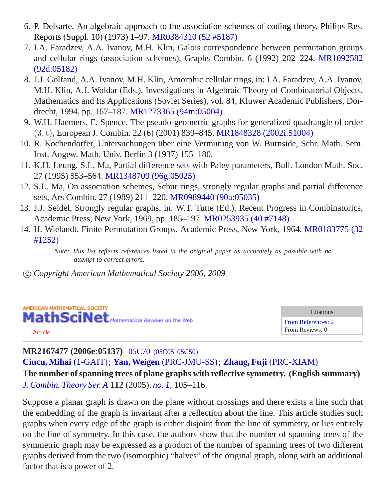- 6. P. Delsarte, An algebraic approach to the association schemes of coding theory, Philips Res. Reports (Suppl. 10) (1973) 1–97. [MR0384310 \(52 #5187\)](/mathscinet/pdf/384310.pdf?pg1=MR&s1=52:5187&loc=fromreflist)
- 7. I.A. Faradzev, A.A. Ivanov, M.H. Klin, Galois correspondence between permutation groups and cellular rings (association schemes), Graphs Combin. 6 (1992) 202–224. [MR1092582](/mathscinet/pdf/1092582.pdf?pg1=MR&s1=92d:05182&loc=fromreflist) [\(92d:05182\)](/mathscinet/pdf/1092582.pdf?pg1=MR&s1=92d:05182&loc=fromreflist)
- 8. J.J. Golfand, A.A. Ivanov, M.H. Klin, Amorphic cellular rings, in: I.A. Faradzev, A.A. Ivanov, M.H. Klin, A.J. Woldar (Eds.), Investigations in Algebraic Theory of Combinatorial Objects, Mathematics and Its Applications (Soviet Series), vol. 84, Kluwer Academic Publishers, Dordrecht, 1994, pp. 167–187. [MR1273365 \(94m:05004\)](/mathscinet/pdf/1273365.pdf?pg1=MR&s1=94m:05004&loc=fromreflist)
- 9. W.H. Haemers, E. Spence, The pseudo-geometric graphs for generalized quadrangle of order (3,t), European J. Combin. 22 (6) (2001) 839–845. [MR1848328 \(2002i:51004\)](/mathscinet/pdf/1848328.pdf?pg1=MR&s1=2002i:51004&loc=fromreflist)
- 10. R. Kochendorfer, Untersuchungen uber eine Vermutung von W. Burnside, Schr. Math. Sem. ¨ Inst. Angew. Math. Univ. Berlin 3 (1937) 155–180.
- 11. K.H. Leung, S.L. Ma, Partial difference sets with Paley parameters, Bull. London Math. Soc. 27 (1995) 553–564. [MR1348709 \(96g:05025\)](/mathscinet/pdf/1348709.pdf?pg1=MR&s1=96g:05025&loc=fromreflist)
- 12. S.L. Ma, On association schemes, Schur rings, strongly regular graphs and partial difference sets, Ars Combin. 27 (1989) 211–220. [MR0989440 \(90a:05035\)](/mathscinet/pdf/989440.pdf?pg1=MR&s1=90a:05035&loc=fromreflist)
- 13. J.J. Seidel, Strongly regular graphs, in: W.T. Tutte (Ed.), Recent Progress in Combinatorics, Academic Press, New York, 1969, pp. 185–197. [MR0253935 \(40 #7148\)](/mathscinet/pdf/253935.pdf?pg1=MR&s1=40:7148&loc=fromreflist)
- 14. H. Wielandt, Finite Permutation Groups, Academic Press, New York, 1964. [MR0183775 \(32](/mathscinet/pdf/183775.pdf?pg1=MR&s1=32:1252&loc=fromreflist) [#1252\)](/mathscinet/pdf/183775.pdf?pg1=MR&s1=32:1252&loc=fromreflist)

c *Copyright American Mathematical Society 2006, 2009*



Citations [From References: 2](http://ams.rice.edu/mathscinet/search/publications.html?refcit=2167477&loc=refcit) From Reviews: 0

#### [Article](/leavingmsn?url=http://dx.doi.org/10.1016/j.jcta.2005.01.007)

**MR2167477 (2006e:05137)** 05C70 [\(05C05 05C50\)](http://ams.rice.edu/mathscinet/search/mscdoc.html?code=05C70%2C%2805C05%2C05C50%29) **[Ciucu, Mihai](http://ams.rice.edu/mathscinet/search/publications.html?pg1=IID&s1=605457)** [\(1-GAIT\)](http://ams.rice.edu/mathscinet/search/institution.html?code=1_GAIT); **[Yan, Weigen](http://ams.rice.edu/mathscinet/search/publications.html?pg1=IID&s1=324560)** [\(PRC-JMU-SS\)](http://ams.rice.edu/mathscinet/search/institution.html?code=PRC_JMU_SS); **[Zhang, Fuji](http://ams.rice.edu/mathscinet/search/publications.html?pg1=IID&s1=203021)** [\(PRC-XIAM\)](http://ams.rice.edu/mathscinet/search/institution.html?code=PRC_XIAM)

**The number of spanning trees of plane graphs with reflective symmetry. (English summary)** *[J. Combin. Theory Ser. A](http://ams.rice.edu/mathscinet/search/journaldoc.html?&cn=J_Combin_Theory_Ser_A)* **112** (2005), *[no. 1,](http://ams.rice.edu/mathscinet/search/publications.html?pg1=ISSI&s1=235327)* 105*–*116.

Suppose a planar graph is drawn on the plane without crossings and there exists a line such that the embedding of the graph is invariant after a reflection about the line. This article studies such graphs when every edge of the graph is either disjoint from the line of symmetry, or lies entirely on the line of symmetry. In this case, the authors show that the number of spanning trees of the symmetric graph may be expressed as a product of the number of spanning trees of two different graphs derived from the two (isomorphic) "halves" of the original graph, along with an additional factor that is a power of 2.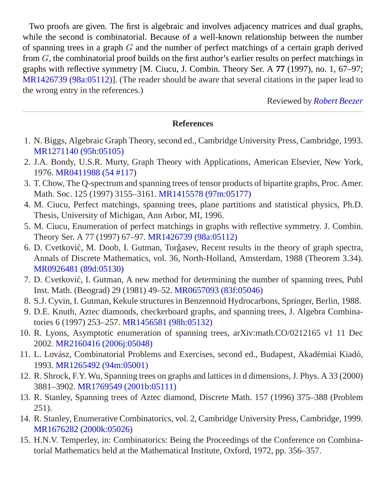Two proofs are given. The first is algebraic and involves adjacency matrices and dual graphs, while the second is combinatorial. Because of a well-known relationship between the number of spanning trees in a graph G and the number of perfect matchings of a certain graph derived from G, the combinatorial proof builds on the first author's earlier results on perfect matchings in graphs with reflective symmetry [M. Ciucu, J. Combin. Theory Ser. A **77** (1997), no. 1, 67–97; [MR1426739 \(98a:05112\)](http://ams.rice.edu/mathscinet/pdf/1426739.pdf)]. (The reader should be aware that several citations in the paper lead to the wrong entry in the references.)

Reviewed by *[Robert Beezer](http://ams.rice.edu/mathscinet/search/publications.html?pg1=IID&s1=213894)*

- 1. N. Biggs, Algebraic Graph Theory, second ed., Cambridge University Press, Cambridge, 1993. [MR1271140 \(95h:05105\)](/mathscinet/pdf/1271140.pdf?pg1=MR&s1=95h:05105&loc=fromreflist)
- 2. J.A. Bondy, U.S.R. Murty, Graph Theory with Applications, American Elsevier, New York, 1976. [MR0411988 \(54 #117\)](/mathscinet/pdf/411988.pdf?pg1=MR&s1=54:117&loc=fromreflist)
- 3. T. Chow, The Q-spectrum and spanning trees of tensor products of bipartite graphs, Proc. Amer. Math. Soc. 125 (1997) 3155–3161. [MR1415578 \(97m:05177\)](/mathscinet/pdf/1415578.pdf?pg1=MR&s1=97m:05177&loc=fromreflist)
- 4. M. Ciucu, Perfect matchings, spanning trees, plane partitions and statistical physics, Ph.D. Thesis, University of Michigan, Ann Arbor, MI, 1996.
- 5. M. Ciucu, Enumeration of perfect matchings in graphs with reflective symmetry. J. Combin. Theory Ser. A 77 (1997) 67–97. [MR1426739 \(98a:05112\)](/mathscinet/pdf/1426739.pdf?pg1=MR&s1=98a:05112&loc=fromreflist)
- 6. D. Cvetković, M. Doob, I. Gutman, Torgasev, Recent results in the theory of graph spectra, Annals of Discrete Mathematics, vol. 36, North-Holland, Amsterdam, 1988 (Theorem 3.34). [MR0926481 \(89d:05130\)](/mathscinet/pdf/926481.pdf?pg1=MR&s1=89d:05130&loc=fromreflist)
- 7. D. Cvetkovic, I. Gutman, A new method for determining the number of spanning trees, Publ ´ Inst. Math. (Beograd) 29 (1981) 49–52. [MR0657093 \(83f:05046\)](/mathscinet/pdf/657093.pdf?pg1=MR&s1=83f:05046&loc=fromreflist)
- 8. S.J. Cyvin, I. Gutman, Kekule structures in Benzennoid Hydrocarbons, Springer, Berlin, 1988.
- 9. D.E. Knuth, Aztec diamonds, checkerboard graphs, and spanning trees, J. Algebra Combinatories 6 (1997) 253–257. [MR1456581 \(98h:05132\)](/mathscinet/pdf/1456581.pdf?pg1=MR&s1=98h:05132&loc=fromreflist)
- 10. R. Lyons, Asymptotic enumeration of spanning trees, arXiv:math.CO/0212165 v1 11 Dec 2002. [MR2160416 \(2006j:05048\)](/mathscinet/pdf/2160416.pdf?pg1=MR&s1=2006j:05048&loc=fromreflist)
- 11. L. Lovász, Combinatorial Problems and Exercises, second ed., Budapest, Akadémiai Kiadó, 1993. [MR1265492 \(94m:05001\)](/mathscinet/pdf/1265492.pdf?pg1=MR&s1=94m:05001&loc=fromreflist)
- 12. R. Shrock, F.Y. Wu, Spanning trees on graphs and lattices in d dimensions, J. Phys. A 33 (2000) 3881–3902. [MR1769549 \(2001b:05111\)](/mathscinet/pdf/1769549.pdf?pg1=MR&s1=2001b:05111&loc=fromreflist)
- 13. R. Stanley, Spanning trees of Aztec diamond, Discrete Math. 157 (1996) 375–388 (Problem 251).
- 14. R. Stanley, Enumerative Combinatorics, vol. 2, Cambridge University Press, Cambridge, 1999. [MR1676282 \(2000k:05026\)](/mathscinet/pdf/1676282.pdf?pg1=MR&s1=2000k:05026&loc=fromreflist)
- 15. H.N.V. Temperley, in: Combinatorics: Being the Proceedings of the Conference on Combinatorial Mathematics held at the Mathematical Institute, Oxford, 1972, pp. 356–357.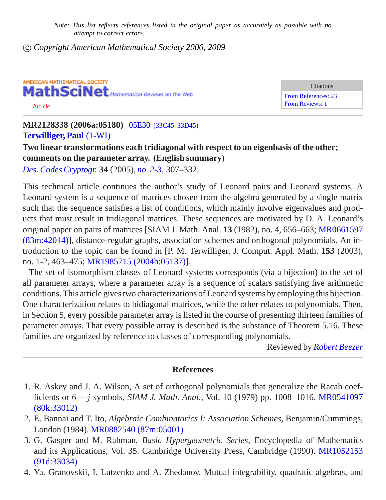c *Copyright American Mathematical Society 2006, 2009*



**Citations** [From References: 23](http://ams.rice.edu/mathscinet/search/publications.html?refcit=2128338&loc=refcit) [From Reviews: 1](http://ams.rice.edu/mathscinet/search/publications.html?revcit=2128338&loc=revcit)

**MR2128338 (2006a:05180)** 05E30 [\(33C45 33D45\)](http://ams.rice.edu/mathscinet/search/mscdoc.html?code=05E30%2C%2833C45%2C33D45%29) **[Terwilliger, Paul](http://ams.rice.edu/mathscinet/search/publications.html?pg1=IID&s1=171720)** [\(1-WI\)](http://ams.rice.edu/mathscinet/search/institution.html?code=1_WI)

## **Two linear transformations each tridiagonal with respect to an eigenbasis of the other; comments on the parameter array. (English summary)**

*[Des. Codes Cryptogr.](http://ams.rice.edu/mathscinet/search/journaldoc.html?&cn=Des_Codes_Cryptogr)* **34** (2005), *[no. 2-3,](http://ams.rice.edu/mathscinet/search/publications.html?pg1=ISSI&s1=227012)* 307*–*332.

This technical article continues the author's study of Leonard pairs and Leonard systems. A Leonard system is a sequence of matrices chosen from the algebra generated by a single matrix such that the sequence satisfies a list of conditions, which mainly involve eigenvalues and products that must result in tridiagonal matrices. These sequences are motivated by D. A. Leonard's original paper on pairs of matrices [SIAM J. Math. Anal. **13** (1982), no. 4, 656–663; [MR0661597](http://ams.rice.edu/mathscinet/pdf/661597.pdf) [\(83m:42014\)\]](http://ams.rice.edu/mathscinet/pdf/661597.pdf), distance-regular graphs, association schemes and orthogonal polynomials. An introduction to the topic can be found in [P. M. Terwilliger, J. Comput. Appl. Math. **153** (2003), no. 1-2, 463–475; [MR1985715 \(2004h:05137\)\]](http://ams.rice.edu/mathscinet/pdf/1985715.pdf).

The set of isomorphism classes of Leonard systems corresponds (via a bijection) to the set of all parameter arrays, where a parameter array is a sequence of scalars satisfying five arithmetic conditions. This article gives two characterizations of Leonard systems by employing this bijection. One characterization relates to bidiagonal matrices, while the other relates to polynomials. Then, in Section 5, every possible parameter array is listed in the course of presenting thirteen families of parameter arrays. That every possible array is described is the substance of Theorem 5.16. These families are organized by reference to classes of corresponding polynomials.

Reviewed by *[Robert Beezer](http://ams.rice.edu/mathscinet/search/publications.html?pg1=IID&s1=213894)*

- 1. R. Askey and J. A. Wilson, A set of orthogonal polynomials that generalize the Racah coefficients or 6 − j symbols, *SIAM J. Math. Anal.,* Vol. 10 (1979) pp. 1008–1016. [MR0541097](/mathscinet/pdf/541097.pdf?pg1=MR&s1=80k:33012&loc=fromreflist) [\(80k:33012\)](/mathscinet/pdf/541097.pdf?pg1=MR&s1=80k:33012&loc=fromreflist)
- 2. E. Bannai and T. Ito, *Algebraic Combinatorics I: Association Schemes,* Benjamin/Cummings, London (1984). [MR0882540 \(87m:05001\)](/mathscinet/pdf/882540.pdf?pg1=MR&s1=87m:05001&loc=fromreflist)
- 3. G. Gasper and M. Rahman, *Basic Hypergeometric Series,* Encyclopedia of Mathematics and its Applications, Vol. 35. Cambridge University Press, Cambridge (1990). [MR1052153](/mathscinet/pdf/1052153.pdf?pg1=MR&s1=91d:33034&loc=fromreflist) [\(91d:33034\)](/mathscinet/pdf/1052153.pdf?pg1=MR&s1=91d:33034&loc=fromreflist)
- 4. Ya. Granovskii, I. Lutzenko and A. Zhedanov, Mutual integrability, quadratic algebras, and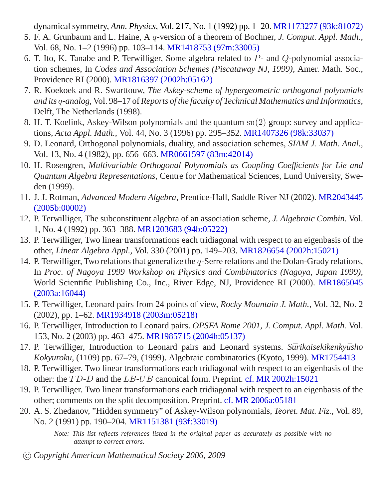dynamical symmetry, *Ann. Physics,* Vol. 217, No. 1 (1992) pp. 1–20. [MR1173277 \(93k:81072\)](/mathscinet/pdf/1173277.pdf?pg1=MR&s1=93k:81072&loc=fromreflist)

- 5. F. A. Grunbaum and L. Haine, A q-version of a theorem of Bochner, *J. Comput. Appl. Math.,* Vol. 68, No. 1–2 (1996) pp. 103–114. [MR1418753 \(97m:33005\)](/mathscinet/pdf/1418753.pdf?pg1=MR&s1=97m:33005&loc=fromreflist)
- 6. T. Ito, K. Tanabe and P. Terwilliger, Some algebra related to P- and Q-polynomial association schemes, In *Codes and Association Schemes (Piscataway NJ, 1999),* Amer. Math. Soc., Providence RI (2000). [MR1816397 \(2002h:05162\)](/mathscinet/pdf/1816397.pdf?pg1=MR&s1=2002h:05162&loc=fromreflist)
- 7. R. Koekoek and R. Swarttouw, *The Askey-scheme of hypergeometric orthogonal polyomials and its* q-*analog,* Vol. 98–17 of *Reports of the faculty of Technical Mathematics and Informatics,* Delft, The Netherlands (1998).
- 8. H. T. Koelink, Askey-Wilson polynomials and the quantum su(2) group: survey and applications, *Acta Appl. Math.,* Vol. 44, No. 3 (1996) pp. 295–352. [MR1407326 \(98k:33037\)](/mathscinet/pdf/1407326.pdf?pg1=MR&s1=98k:33037&loc=fromreflist)
- 9. D. Leonard, Orthogonal polynomials, duality, and association schemes, *SIAM J. Math. Anal.,* Vol. 13, No. 4 (1982), pp. 656–663. [MR0661597 \(83m:42014\)](/mathscinet/pdf/661597.pdf?pg1=MR&s1=83m:42014&loc=fromreflist)
- 10. H. Rosengren, *Multivariable Orthogonal Polynomials as Coupling Coefficients for Lie and Quantum Algebra Representations,* Centre for Mathematical Sciences, Lund University, Sweden (1999).
- 11. J. J. Rotman, *Advanced Modern Algebra,* Prentice-Hall, Saddle River NJ (2002). [MR2043445](/mathscinet/pdf/2043445.pdf?pg1=MR&s1=2005b:00002&loc=fromreflist) [\(2005b:00002\)](/mathscinet/pdf/2043445.pdf?pg1=MR&s1=2005b:00002&loc=fromreflist)
- 12. P. Terwilliger, The subconstituent algebra of an association scheme, *J. Algebraic Combin.* Vol. 1, No. 4 (1992) pp. 363–388. [MR1203683 \(94b:05222\)](/mathscinet/pdf/1203683.pdf?pg1=MR&s1=94b:05222&loc=fromreflist)
- 13. P. Terwilliger, Two linear transformations each tridiagonal with respect to an eigenbasis of the other, *Linear Algebra Appl.,* Vol. 330 (2001) pp. 149–203. [MR1826654 \(2002h:15021\)](/mathscinet/pdf/1826654.pdf?pg1=MR&s1=2002h:15021&loc=fromreflist)
- 14. P. Terwilliger, Two relations that generalize the  $q$ -Serre relations and the Dolan-Grady relations, In *Proc. of Nagoya 1999 Workshop on Physics and Combinatorics (Nagoya, Japan 1999),* World Scientific Publishing Co., Inc., River Edge, NJ, Providence RI (2000). [MR1865045](/mathscinet/pdf/1865045.pdf?pg1=MR&s1=2003a:16044&loc=fromreflist) [\(2003a:16044\)](/mathscinet/pdf/1865045.pdf?pg1=MR&s1=2003a:16044&loc=fromreflist)
- 15. P. Terwilliger, Leonard pairs from 24 points of view, *Rocky Mountain J. Math.,* Vol. 32, No. 2 (2002), pp. 1–62. [MR1934918 \(2003m:05218\)](/mathscinet/pdf/1934918.pdf?pg1=MR&s1=2003m:05218&loc=fromreflist)
- 16. P. Terwilliger, Introduction to Leonard pairs. *OPSFA Rome 2001, J. Comput. Appl. Math.* Vol. 153, No. 2 (2003) pp. 463–475. [MR1985715 \(2004h:05137\)](/mathscinet/pdf/1985715.pdf?pg1=MR&s1=2004h:05137&loc=fromreflist)
- 17. P. Terwilliger, Introduction to Leonard pairs and Leonard systems. *Sūrikaisekikenkyūsho Kōkyūroku*, (1109) pp. 67–79, (1999). Algebraic combinatorics (Kyoto, 1999). [MR1754413](http://ams.rice.edu/mathscinet/pdf/1754413.pdf?pg1=MR&s1=1754413&loc=fromreflist)
- 18. P. Terwilliger. Two linear transformations each tridiagonal with respect to an eigenbasis of the other: the TD-D and the LB-UB canonical form. Preprint. [cf. MR 2002h:15021](/mathscinet/pdf/1826654.pdf?pg1=MR&s1=2002h:15021&loc=fromreflist)
- 19. P. Terwilliger. Two linear transformations each tridiagonal with respect to an eigenbasis of the other; comments on the split decomposition. Preprint. [cf. MR 2006a:05181](/mathscinet/pdf/2127896.pdf?pg1=MR&s1=2006a:05181&loc=fromreflist)
- 20. A. S. Zhedanov, "Hidden symmetry" of Askey-Wilson polynomials, *Teoret. Mat. Fiz.,* Vol. 89, No. 2 (1991) pp. 190–204. [MR1151381 \(93f:33019\)](/mathscinet/pdf/1151381.pdf?pg1=MR&s1=93f:33019&loc=fromreflist)

*Note: This list reflects references listed in the original paper as accurately as possible with no attempt to correct errors.*

c *Copyright American Mathematical Society 2006, 2009*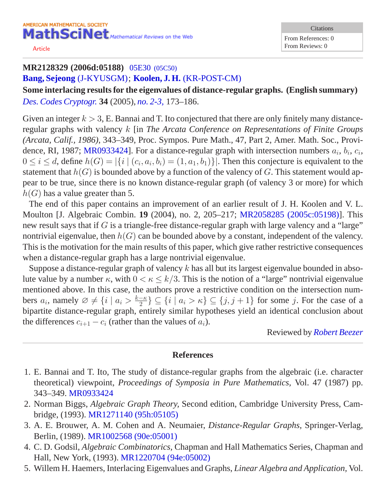[Article](/leavingmsn?url=http://dx.doi.org/10.1007/s10623-004-4853-8)

**Citations** From References: 0 From Reviews: 0

## **MR2128329 (2006d:05188)** 05E30 [\(05C50\)](http://ams.rice.edu/mathscinet/search/mscdoc.html?code=05E30%2C%2805C50%29) **[Bang, Sejeong](http://ams.rice.edu/mathscinet/search/publications.html?pg1=IID&s1=707820)** [\(J-KYUSGM\)](http://ams.rice.edu/mathscinet/search/institution.html?code=J_KYUSGM); **[Koolen, J. H.](http://ams.rice.edu/mathscinet/search/publications.html?pg1=IID&s1=272570)** [\(KR-POST-CM\)](http://ams.rice.edu/mathscinet/search/institution.html?code=KR_POST_CM)

**Some interlacing results for the eigenvalues of distance-regular graphs. (English summary)** *[Des. Codes Cryptogr.](http://ams.rice.edu/mathscinet/search/journaldoc.html?&cn=Des_Codes_Cryptogr)* **34** (2005), *[no. 2-3,](http://ams.rice.edu/mathscinet/search/publications.html?pg1=ISSI&s1=227012)* 173*–*186.

Given an integer  $k > 3$ , E. Bannai and T. Ito conjectured that there are only finitely many distanceregular graphs with valency k [in *The Arcata Conference on Representations of Finite Groups (Arcata, Calif., 1986)*, 343–349, Proc. Sympos. Pure Math., 47, Part 2, Amer. Math. Soc., Provi-dence, RI, 1987; [MR0933424](http://ams.rice.edu/mathscinet/search/publications.html?fmt=pdf&pg1=MR&s1=0933424)]. For a distance-regular graph with intersection numbers  $a_i$ ,  $b_i$ ,  $c_i$ ,  $0 \le i \le d$ , define  $h(G) = |\{i \mid (c_i, a_i, b_i) = (1, a_1, b_1)\}|$ . Then this conjecture is equivalent to the statement that  $h(G)$  is bounded above by a function of the valency of G. This statement would appear to be true, since there is no known distance-regular graph (of valency 3 or more) for which  $h(G)$  has a value greater than 5.

The end of this paper contains an improvement of an earlier result of J. H. Koolen and V. L. Moulton [J. Algebraic Combin. **19** (2004), no. 2, 205–217; [MR2058285 \(2005c:05198\)](http://ams.rice.edu/mathscinet/pdf/2058285.pdf)]. This new result says that if G is a triangle-free distance-regular graph with large valency and a "large" nontrivial eigenvalue, then  $h(G)$  can be bounded above by a constant, independent of the valency. This is the motivation for the main results of this paper, which give rather restrictive consequences when a distance-regular graph has a large nontrivial eigenvalue.

Suppose a distance-regular graph of valency  $k$  has all but its largest eigenvalue bounded in absolute value by a number  $\kappa$ , with  $0 < \kappa \leq k/3$ . This is the notion of a "large" nontrivial eigenvalue mentioned above. In this case, the authors prove a restrictive condition on the intersection numbers  $a_i$ , namely  $\emptyset \neq \{i \mid a_i > \frac{k-\kappa}{2}\}$  $\{ \frac{-\kappa}{2} \} \subseteq \{ i \mid a_i > \kappa \} \subseteq \{ j, j + 1 \}$  for some j. For the case of a bipartite distance-regular graph, entirely similar hypotheses yield an identical conclusion about the differences  $c_{i+1} - c_i$  (rather than the values of  $a_i$ ).

Reviewed by *[Robert Beezer](http://ams.rice.edu/mathscinet/search/publications.html?pg1=IID&s1=213894)*

- 1. E. Bannai and T. Ito, The study of distance-regular graphs from the algebraic (i.e. character theoretical) viewpoint, *Proceedings of Symposia in Pure Mathematics,* Vol. 47 (1987) pp. 343–349. [MR0933424](http://ams.rice.edu/mathscinet/pdf/933424.pdf?pg1=MR&s1=0933424&loc=fromreflist)
- 2. Norman Biggs, *Algebraic Graph Theory,* Second edition, Cambridge University Press, Cambridge, (1993). [MR1271140 \(95h:05105\)](/mathscinet/pdf/1271140.pdf?pg1=MR&s1=95h:05105&loc=fromreflist)
- 3. A. E. Brouwer, A. M. Cohen and A. Neumaier, *Distance-Regular Graphs,* Springer-Verlag, Berlin, (1989). [MR1002568 \(90e:05001\)](/mathscinet/pdf/1002568.pdf?pg1=MR&s1=90e:05001&loc=fromreflist)
- 4. C. D. Godsil, *Algebraic Combinatorics,* Chapman and Hall Mathematics Series, Chapman and Hall, New York, (1993). [MR1220704 \(94e:05002\)](/mathscinet/pdf/1220704.pdf?pg1=MR&s1=94e:05002&loc=fromreflist)
- 5. Willem H. Haemers, Interlacing Eigenvalues and Graphs, *Linear Algebra and Application,* Vol.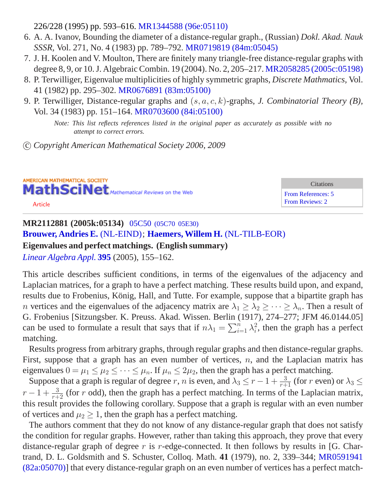226/228 (1995) pp. 593–616. [MR1344588 \(96e:05110\)](/mathscinet/pdf/1344588.pdf?pg1=MR&s1=96e:05110&loc=fromreflist)

- 6. A. A. Ivanov, Bounding the diameter of a distance-regular graph., (Russian) *Dokl. Akad. Nauk SSSR,* Vol. 271, No. 4 (1983) pp. 789–792. [MR0719819 \(84m:05045\)](/mathscinet/pdf/719819.pdf?pg1=MR&s1=84m:05045&loc=fromreflist)
- 7. J. H. Koolen and V. Moulton, There are finitely many triangle-free distance-regular graphs with degree 8, 9, or 10. J. Algebraic Combin. 19 (2004). No. 2, 205–217. [MR2058285 \(2005c:05198\)](/mathscinet/pdf/2058285.pdf?pg1=MR&s1=2005c:05198&loc=fromreflist)
- 8. P. Terwilliger, Eigenvalue multiplicities of highly symmetric graphs, *Discrete Mathmatics,* Vol. 41 (1982) pp. 295–302. [MR0676891 \(83m:05100\)](/mathscinet/pdf/676891.pdf?pg1=MR&s1=83m:05100&loc=fromreflist)
- 9. P. Terwilliger, Distance-regular graphs and (s, a, c, k)-graphs, *J. Combinatorial Theory (B),* Vol. 34 (1983) pp. 151–164. [MR0703600 \(84i:05100\)](/mathscinet/pdf/703600.pdf?pg1=MR&s1=84i:05100&loc=fromreflist)

*Note: This list reflects references listed in the original paper as accurately as possible with no attempt to correct errors.*

c *Copyright American Mathematical Society 2006, 2009*

AMERICAN MATHEMATICAL SOCIETY MathSciNet Mathematical Reviews on the Web [Article](/leavingmsn?url=http://dx.doi.org/10.1016/j.laa.2004.08.014)

**Citations** [From References: 5](http://ams.rice.edu/mathscinet/search/publications.html?refcit=2112881&loc=refcit) [From Reviews: 2](http://ams.rice.edu/mathscinet/search/publications.html?revcit=2112881&loc=revcit)

## **MR2112881 (2005k:05134)** 05C50 [\(05C70 05E30\)](http://ams.rice.edu/mathscinet/search/mscdoc.html?code=05C50%2C%2805C70%2C05E30%29) **[Brouwer, Andries E.](http://ams.rice.edu/mathscinet/search/publications.html?pg1=IID&s1=42025)** [\(NL-EIND\)](http://ams.rice.edu/mathscinet/search/institution.html?code=NL_EIND); **[Haemers, Willem H.](http://ams.rice.edu/mathscinet/search/publications.html?pg1=IID&s1=79310)** [\(NL-TILB-EOR\)](http://ams.rice.edu/mathscinet/search/institution.html?code=NL_TILB_EOR) **Eigenvalues and perfect matchings. (English summary)** *[Linear Algebra Appl.](http://ams.rice.edu/mathscinet/search/journaldoc.html?&cn=Linear_Algebra_Appl)* **[395](http://ams.rice.edu/mathscinet/search/publications.html?pg1=ISSI&s1=225349)** (2005), 155*–*162.

This article describes sufficient conditions, in terms of the eigenvalues of the adjacency and Laplacian matrices, for a graph to have a perfect matching. These results build upon, and expand, results due to Frobenius, König, Hall, and Tutte. For example, suppose that a bipartite graph has *n* vertices and the eigenvalues of the adjacency matrix are  $\lambda_1 \geq \lambda_2 \geq \cdots \geq \lambda_n$ . Then a result of G. Frobenius [Sitzungsber. K. Preuss. Akad. Wissen. Berlin (1917), 274–277; JFM 46.0144.05] can be used to formulate a result that says that if  $n\lambda_1 = \sum_{i=1}^n \lambda_i^2$  $i<sub>i</sub>$ , then the graph has a perfect matching.

Results progress from arbitrary graphs, through regular graphs and then distance-regular graphs. First, suppose that a graph has an even number of vertices,  $n$ , and the Laplacian matrix has eigenvalues  $0 = \mu_1 \leq \mu_2 \leq \cdots \leq \mu_n$ . If  $\mu_n \leq 2\mu_2$ , then the graph has a perfect matching.

Suppose that a graph is regular of degree r, n is even, and  $\lambda_3 \le r - 1 + \frac{3}{r+1}$  (for r even) or  $\lambda_3 \le$  $r-1+\frac{3}{r+2}$  (for r odd), then the graph has a perfect matching. In terms of the Laplacian matrix, this result provides the following corollary. Suppose that a graph is regular with an even number of vertices and  $\mu_2 \geq 1$ , then the graph has a perfect matching.

The authors comment that they do not know of any distance-regular graph that does not satisfy the condition for regular graphs. However, rather than taking this approach, they prove that every distance-regular graph of degree  $r$  is  $r$ -edge-connected. It then follows by results in [G. Chartrand, D. L. Goldsmith and S. Schuster, Colloq. Math. **41** (1979), no. 2, 339–344; [MR0591941](http://ams.rice.edu/mathscinet/pdf/591941.pdf) [\(82a:05070\)](http://ams.rice.edu/mathscinet/pdf/591941.pdf)] that every distance-regular graph on an even number of vertices has a perfect match-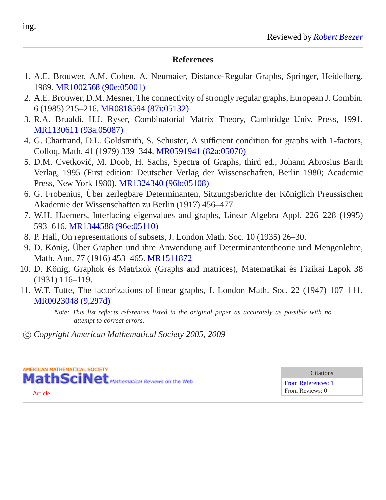#### **References**

- 1. A.E. Brouwer, A.M. Cohen, A. Neumaier, Distance-Regular Graphs, Springer, Heidelberg, 1989. [MR1002568 \(90e:05001\)](/mathscinet/pdf/1002568.pdf?pg1=MR&s1=90e:05001&loc=fromreflist)
- 2. A.E. Brouwer, D.M. Mesner, The connectivity of strongly regular graphs, European J. Combin. 6 (1985) 215–216. [MR0818594 \(87i:05132\)](/mathscinet/pdf/818594.pdf?pg1=MR&s1=87i:05132&loc=fromreflist)
- 3. R.A. Brualdi, H.J. Ryser, Combinatorial Matrix Theory, Cambridge Univ. Press, 1991. [MR1130611 \(93a:05087\)](/mathscinet/pdf/1130611.pdf?pg1=MR&s1=93a:05087&loc=fromreflist)
- 4. G. Chartrand, D.L. Goldsmith, S. Schuster, A sufficient condition for graphs with 1-factors, Colloq. Math. 41 (1979) 339–344. [MR0591941 \(82a:05070\)](/mathscinet/pdf/591941.pdf?pg1=MR&s1=82a:05070&loc=fromreflist)
- 5. D.M. Cvetkovic, M. Doob, H. Sachs, Spectra of Graphs, third ed., Johann Abrosius Barth ´ Verlag, 1995 (First edition: Deutscher Verlag der Wissenschaften, Berlin 1980; Academic Press, New York 1980). [MR1324340 \(96b:05108\)](/mathscinet/pdf/1324340.pdf?pg1=MR&s1=96b:05108&loc=fromreflist)
- 6. G. Frobenius, Über zerlegbare Determinanten, Sitzungsberichte der Königlich Preussischen Akademie der Wissenschaften zu Berlin (1917) 456–477.
- 7. W.H. Haemers, Interlacing eigenvalues and graphs, Linear Algebra Appl. 226–228 (1995) 593–616. [MR1344588 \(96e:05110\)](/mathscinet/pdf/1344588.pdf?pg1=MR&s1=96e:05110&loc=fromreflist)
- 8. P. Hall, On representations of subsets, J. London Math. Soc. 10 (1935) 26–30.
- 9. D. König, Über Graphen und ihre Anwendung auf Determinantentheorie und Mengenlehre, Math. Ann. 77 (1916) 453–465. [MR1511872](http://ams.rice.edu/mathscinet/pdf/1511872.pdf?pg1=MR&s1=1511872&loc=fromreflist)
- 10. D. König, Graphok és Matrixok (Graphs and matrices), Matematikai és Fizikai Lapok 38 (1931) 116–119.
- 11. W.T. Tutte, The factorizations of linear graphs, J. London Math. Soc. 22 (1947) 107–111. [MR0023048 \(9,297d\)](/mathscinet/pdf/23048.pdf?pg1=MR&s1=9:297d&loc=fromreflist)

*Note: This list reflects references listed in the original paper as accurately as possible with no attempt to correct errors.*

c *Copyright American Mathematical Society 2005, 2009*



[Article](/leavingmsn?url=http://dx.doi.org/10.1016/j.ejc.2004.03.001)

**Citations** 

[From References: 1](http://ams.rice.edu/mathscinet/search/publications.html?refcit=2110978&loc=refcit) From Reviews: 0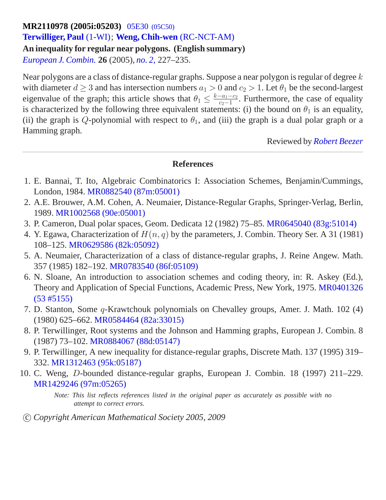## **MR2110978 (2005i:05203)** 05E30 [\(05C50\)](http://ams.rice.edu/mathscinet/search/mscdoc.html?code=05E30%2C%2805C50%29) **[Terwilliger, Paul](http://ams.rice.edu/mathscinet/search/publications.html?pg1=IID&s1=171720)** [\(1-WI\)](http://ams.rice.edu/mathscinet/search/institution.html?code=1_WI); **[Weng, Chih-wen](http://ams.rice.edu/mathscinet/search/publications.html?pg1=IID&s1=364887)** [\(RC-NCT-AM\)](http://ams.rice.edu/mathscinet/search/institution.html?code=RC_NCT_AM) **An inequality for regular near polygons. (English summary)** *[European J. Combin.](http://ams.rice.edu/mathscinet/search/journaldoc.html?&cn=European_J_Combin)* **26** (2005), *[no. 2,](http://ams.rice.edu/mathscinet/search/publications.html?pg1=ISSI&s1=224872)* 227*–*235.

Near polygons are a class of distance-regular graphs. Suppose a near polygon is regular of degree  $k$ with diameter  $d > 3$  and has intersection numbers  $a_1 > 0$  and  $c_2 > 1$ . Let  $\theta_1$  be the second-largest eigenvalue of the graph; this article shows that  $\theta_1 \leq \frac{k-a_1-c_2}{c_2-1}$  $\frac{-a_1 - c_2}{c_2 - 1}$ . Furthermore, the case of equality is characterized by the following three equivalent statements: (i) the bound on  $\theta_1$  is an equality, (ii) the graph is Q-polynomial with respect to  $\theta_1$ , and (iii) the graph is a dual polar graph or a Hamming graph.

Reviewed by *[Robert Beezer](http://ams.rice.edu/mathscinet/search/publications.html?pg1=IID&s1=213894)*

## **References**

- 1. E. Bannai, T. Ito, Algebraic Combinatorics I: Association Schemes, Benjamin/Cummings, London, 1984. [MR0882540 \(87m:05001\)](/mathscinet/pdf/882540.pdf?pg1=MR&s1=87m:05001&loc=fromreflist)
- 2. A.E. Brouwer, A.M. Cohen, A. Neumaier, Distance-Regular Graphs, Springer-Verlag, Berlin, 1989. [MR1002568 \(90e:05001\)](/mathscinet/pdf/1002568.pdf?pg1=MR&s1=90e:05001&loc=fromreflist)
- 3. P. Cameron, Dual polar spaces, Geom. Dedicata 12 (1982) 75–85. [MR0645040 \(83g:51014\)](/mathscinet/pdf/645040.pdf?pg1=MR&s1=83g:51014&loc=fromreflist)
- 4. Y. Egawa, Characterization of  $H(n, q)$  by the parameters, J. Combin. Theory Ser. A 31 (1981) 108–125. [MR0629586 \(82k:05092\)](/mathscinet/pdf/629586.pdf?pg1=MR&s1=82k:05092&loc=fromreflist)
- 5. A. Neumaier, Characterization of a class of distance-regular graphs, J. Reine Angew. Math. 357 (1985) 182–192. [MR0783540 \(86f:05109\)](/mathscinet/pdf/783540.pdf?pg1=MR&s1=86f:05109&loc=fromreflist)
- 6. N. Sloane, An introduction to association schemes and coding theory, in: R. Askey (Ed.), Theory and Application of Special Functions, Academic Press, New York, 1975. [MR0401326](/mathscinet/pdf/401326.pdf?pg1=MR&s1=53:5155&loc=fromreflist)  $(53 \# 5155)$
- 7. D. Stanton, Some q-Krawtchouk polynomials on Chevalley groups, Amer. J. Math. 102 (4) (1980) 625–662. [MR0584464 \(82a:33015\)](/mathscinet/pdf/584464.pdf?pg1=MR&s1=82a:33015&loc=fromreflist)
- 8. P. Terwillinger, Root systems and the Johnson and Hamming graphs, European J. Combin. 8 (1987) 73–102. [MR0884067 \(88d:05147\)](/mathscinet/pdf/884067.pdf?pg1=MR&s1=88d:05147&loc=fromreflist)
- 9. P. Terwillinger, A new inequality for distance-regular graphs, Discrete Math. 137 (1995) 319– 332. [MR1312463 \(95k:05187\)](/mathscinet/pdf/1312463.pdf?pg1=MR&s1=95k:05187&loc=fromreflist)
- 10. C. Weng, D-bounded distance-regular graphs, European J. Combin. 18 (1997) 211–229. [MR1429246 \(97m:05265\)](/mathscinet/pdf/1429246.pdf?pg1=MR&s1=97m:05265&loc=fromreflist)

*Note: This list reflects references listed in the original paper as accurately as possible with no attempt to correct errors.*

## c *Copyright American Mathematical Society 2005, 2009*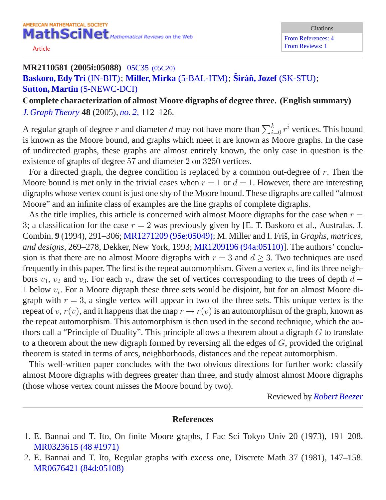[Article](/leavingmsn?url=http://dx.doi.org/10.1002/jgt.20042)

## **MR2110581 (2005i:05088)** 05C35 [\(05C20\)](http://ams.rice.edu/mathscinet/search/mscdoc.html?code=05C35%2C%2805C20%29) **[Baskoro, Edy Tri](http://ams.rice.edu/mathscinet/search/publications.html?pg1=IID&s1=341449)** [\(IN-BIT\)](http://ams.rice.edu/mathscinet/search/institution.html?code=IN_BIT); **[Miller, Mirka](http://ams.rice.edu/mathscinet/search/publications.html?pg1=IID&s1=250731)** [\(5-BAL-ITM\)](http://ams.rice.edu/mathscinet/search/institution.html?code=5_BAL_ITM); **Širáň, Jozef** [\(SK-STU\)](http://ams.rice.edu/mathscinet/search/institution.html?code=SK_STU); **[Sutton, Martin](http://ams.rice.edu/mathscinet/search/publications.html?pg1=IID&s1=642319)** [\(5-NEWC-DCI\)](http://ams.rice.edu/mathscinet/search/institution.html?code=5_NEWC_DCI)

**Complete characterization of almost Moore digraphs of degree three. (English summary)** *[J. Graph Theory](http://ams.rice.edu/mathscinet/search/journaldoc.html?&cn=J_Graph_Theory)* **48** (2005), *[no. 2,](http://ams.rice.edu/mathscinet/search/publications.html?pg1=ISSI&s1=224989)* 112*–*126.

A regular graph of degree  $r$  and diameter  $d$  may not have more than  $\sum_{i=0}^k r^i$  vertices. This bound is known as the Moore bound, and graphs which meet it are known as Moore graphs. In the case of undirected graphs, these graphs are almost entirely known, the only case in question is the existence of graphs of degree 57 and diameter 2 on 3250 vertices.

For a directed graph, the degree condition is replaced by a common out-degree of  $r$ . Then the Moore bound is met only in the trivial cases when  $r = 1$  or  $d = 1$ . However, there are interesting digraphs whose vertex count is just one shy of the Moore bound. These digraphs are called "almost Moore" and an infinite class of examples are the line graphs of complete digraphs.

As the title implies, this article is concerned with almost Moore digraphs for the case when  $r =$ 3; a classification for the case  $r = 2$  was previously given by [E. T. Baskoro et al., Australas. J. Combin. **9** (1994), 291–306; [MR1271209 \(95e:05049\);](http://ams.rice.edu/mathscinet/pdf/1271209.pdf) M. Miller and I. Friš, in *Graphs, matrices, and designs*, 269–278, Dekker, New York, 1993; [MR1209196 \(94a:05110\)\]](http://ams.rice.edu/mathscinet/pdf/1209196.pdf). The authors' conclusion is that there are no almost Moore digraphs with  $r = 3$  and  $d \geq 3$ . Two techniques are used frequently in this paper. The first is the repeat automorphism. Given a vertex  $v$ , find its three neighbors  $v_1$ ,  $v_2$  and  $v_3$ . For each  $v_i$ , draw the set of vertices corresponding to the trees of depth  $d$  – 1 below  $v_i$ . For a Moore digraph these three sets would be disjoint, but for an almost Moore digraph with  $r = 3$ , a single vertex will appear in two of the three sets. This unique vertex is the repeat of v,  $r(v)$ , and it happens that the map  $r \to r(v)$  is an automorphism of the graph, known as the repeat automorphism. This automorphism is then used in the second technique, which the authors call a "Principle of Duality". This principle allows a theorem about a digraph  $G$  to translate to a theorem about the new digraph formed by reversing all the edges of  $G$ , provided the original theorem is stated in terms of arcs, neighborhoods, distances and the repeat automorphism.

This well-written paper concludes with the two obvious directions for further work: classify almost Moore digraphs with degrees greater than three, and study almost almost Moore digraphs (those whose vertex count misses the Moore bound by two).

Reviewed by *[Robert Beezer](http://ams.rice.edu/mathscinet/search/publications.html?pg1=IID&s1=213894)*

- 1. E. Bannai and T. Ito, On finite Moore graphs, J Fac Sci Tokyo Univ 20 (1973), 191–208. [MR0323615 \(48 #1971\)](/mathscinet/pdf/323615.pdf?pg1=MR&s1=48:1971&loc=fromreflist)
- 2. E. Bannai and T. Ito, Regular graphs with excess one, Discrete Math 37 (1981), 147–158. [MR0676421 \(84d:05108\)](/mathscinet/pdf/676421.pdf?pg1=MR&s1=84d:05108&loc=fromreflist)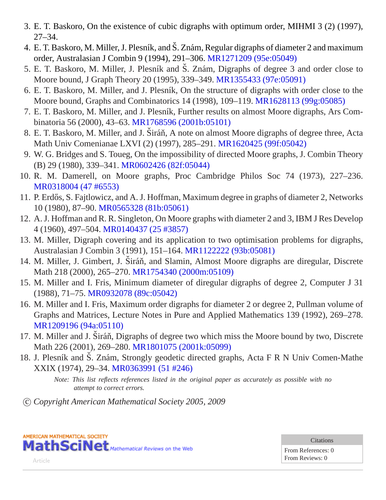- 3. E. T. Baskoro, On the existence of cubic digraphs with optimum order, MIHMI 3 (2) (1997), 27–34.
- 4. E. T. Baskoro, M. Miller, J. Plesník, and Š. Znám, Regular digraphs of diameter 2 and maximum order, Australasian J Combin 9 (1994), 291–306. [MR1271209 \(95e:05049\)](/mathscinet/pdf/1271209.pdf?pg1=MR&s1=95e:05049&loc=fromreflist)
- 5. E. T. Baskoro, M. Miller, J. Plesník and Š. Znám, Digraphs of degree 3 and order close to Moore bound, J Graph Theory 20 (1995), 339–349. [MR1355433 \(97e:05091\)](/mathscinet/pdf/1355433.pdf?pg1=MR&s1=97e:05091&loc=fromreflist)
- 6. E. T. Baskoro, M. Miller, and J. Plesník, On the structure of digraphs with order close to the Moore bound, Graphs and Combinatorics 14 (1998), 109–119. [MR1628113 \(99g:05085\)](/mathscinet/pdf/1628113.pdf?pg1=MR&s1=99g:05085&loc=fromreflist)
- 7. E. T. Baskoro, M. Miller, and J. Plesník, Further results on almost Moore digraphs, Ars Combinatoria 56 (2000), 43–63. [MR1768596 \(2001b:05101\)](/mathscinet/pdf/1768596.pdf?pg1=MR&s1=2001b:05101&loc=fromreflist)
- 8. E. T. Baskoro, M. Miller, and J. Širáň, A note on almost Moore digraphs of degree three, Acta Math Univ Comenianae LXVI (2) (1997), 285–291. [MR1620425 \(99f:05042\)](/mathscinet/pdf/1620425.pdf?pg1=MR&s1=99f:05042&loc=fromreflist)
- 9. W. G. Bridges and S. Toueg, On the impossibility of directed Moore graphs, J. Combin Theory (B) 29 (1980), 339–341. [MR0602426 \(82f:05044\)](/mathscinet/pdf/602426.pdf?pg1=MR&s1=82f:05044&loc=fromreflist)
- 10. R. M. Damerell, on Moore graphs, Proc Cambridge Philos Soc 74 (1973), 227–236. [MR0318004 \(47 #6553\)](/mathscinet/pdf/318004.pdf?pg1=MR&s1=47:6553&loc=fromreflist)
- 11. P. Erdős, S. Fajtlowicz, and A. J. Hoffman, Maximum degree in graphs of diameter 2, Networks 10 (1980), 87–90. [MR0565328 \(81b:05061\)](/mathscinet/pdf/565328.pdf?pg1=MR&s1=81b:05061&loc=fromreflist)
- 12. A. J. Hoffman and R. R. Singleton, On Moore graphs with diameter 2 and 3, IBM J Res Develop 4 (1960), 497–504. [MR0140437 \(25 #3857\)](/mathscinet/pdf/140437.pdf?pg1=MR&s1=25:3857&loc=fromreflist)
- 13. M. Miller, Digraph covering and its application to two optimisation problems for digraphs, Australasian J Combin 3 (1991), 151–164. [MR1122222 \(93b:05081\)](/mathscinet/pdf/1122222.pdf?pg1=MR&s1=93b:05081&loc=fromreflist)
- 14. M. Miller, J. Gimbert, J. Širáň, and Slamin, Almost Moore digraphs are diregular, Discrete Math 218 (2000), 265–270. [MR1754340 \(2000m:05109\)](/mathscinet/pdf/1754340.pdf?pg1=MR&s1=2000m:05109&loc=fromreflist)
- 15. M. Miller and I. Fris, Minimum diameter of diregular digraphs of degree 2, Computer J 31 (1988), 71–75. [MR0932078 \(89c:05042\)](/mathscinet/pdf/932078.pdf?pg1=MR&s1=89c:05042&loc=fromreflist)
- 16. M. Miller and I. Fris, Maximum order digraphs for diameter 2 or degree 2, Pullman volume of Graphs and Matrices, Lecture Notes in Pure and Applied Mathematics 139 (1992), 269–278. [MR1209196 \(94a:05110\)](/mathscinet/pdf/1209196.pdf?pg1=MR&s1=94a:05110&loc=fromreflist)
- 17. M. Miller and J. Širáň, Digraphs of degree two which miss the Moore bound by two, Discrete Math 226 (2001), 269–280. [MR1801075 \(2001k:05099\)](/mathscinet/pdf/1801075.pdf?pg1=MR&s1=2001k:05099&loc=fromreflist)
- 18. J. Plesník and Š. Znám, Strongly geodetic directed graphs, Acta F R N Univ Comen-Mathe XXIX (1974), 29–34. [MR0363991 \(51 #246\)](/mathscinet/pdf/363991.pdf?pg1=MR&s1=51:246&loc=fromreflist)

c *Copyright American Mathematical Society 2005, 2009*



Citations

From References: 0 From Reviews: 0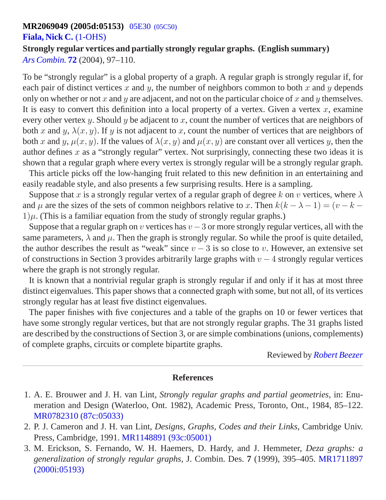#### **MR2069049 (2005d:05153)** 05E30 [\(05C50\)](http://ams.rice.edu/mathscinet/search/mscdoc.html?code=05E30%2C%2805C50%29)

#### **[Fiala, Nick C.](http://ams.rice.edu/mathscinet/search/publications.html?pg1=IID&s1=707681)** [\(1-OHS\)](http://ams.rice.edu/mathscinet/search/institution.html?code=1_OHS)

# **Strongly regular vertices and partially strongly regular graphs. (English summary)**

*[Ars Combin.](http://ams.rice.edu/mathscinet/search/journaldoc.html?&cn=Ars_Combin)* **[72](http://ams.rice.edu/mathscinet/search/publications.html?pg1=ISSI&s1=220631)** (2004), 97*–*110.

To be "strongly regular" is a global property of a graph. A regular graph is strongly regular if, for each pair of distinct vertices x and y, the number of neighbors common to both x and y depends only on whether or not x and y are adjacent, and not on the particular choice of x and y themselves. It is easy to convert this definition into a local property of a vertex. Given a vertex  $x$ , examine every other vertex y. Should y be adjacent to x, count the number of vertices that are neighbors of both x and y,  $\lambda(x, y)$ . If y is not adjacent to x, count the number of vertices that are neighbors of both x and y,  $\mu(x, y)$ . If the values of  $\lambda(x, y)$  and  $\mu(x, y)$  are constant over all vertices y, then the author defines  $x$  as a "strongly regular" vertex. Not surprisingly, connecting these two ideas it is shown that a regular graph where every vertex is strongly regular will be a strongly regular graph.

This article picks off the low-hanging fruit related to this new definition in an entertaining and easily readable style, and also presents a few surprising results. Here is a sampling.

Suppose that x is a strongly regular vertex of a regular graph of degree k on v vertices, where  $\lambda$ and  $\mu$  are the sizes of the sets of common neighbors relative to x. Then  $k(k - \lambda - 1) = (v - k - 1)$  $1)\mu$ . (This is a familiar equation from the study of strongly regular graphs.)

Suppose that a regular graph on v vertices has  $v - 3$  or more strongly regular vertices, all with the same parameters,  $\lambda$  and  $\mu$ . Then the graph is strongly regular. So while the proof is quite detailed, the author describes the result as "weak" since  $v - 3$  is so close to v. However, an extensive set of constructions in Section 3 provides arbitrarily large graphs with  $v - 4$  strongly regular vertices where the graph is not strongly regular.

It is known that a nontrivial regular graph is strongly regular if and only if it has at most three distinct eigenvalues. This paper shows that a connected graph with some, but not all, of its vertices strongly regular has at least five distinct eigenvalues.

The paper finishes with five conjectures and a table of the graphs on 10 or fewer vertices that have some strongly regular vertices, but that are not strongly regular graphs. The 31 graphs listed are described by the constructions of Section 3, or are simple combinations (unions, complements) of complete graphs, circuits or complete bipartite graphs.

Reviewed by *[Robert Beezer](http://ams.rice.edu/mathscinet/search/publications.html?pg1=IID&s1=213894)*

- 1. A. E. Brouwer and J. H. van Lint, *Strongly regular graphs and partial geometries*, in: Enumeration and Design (Waterloo, Ont. 1982), Academic Press, Toronto, Ont., 1984, 85–122. [MR0782310 \(87c:05033\)](/mathscinet/pdf/782310.pdf?pg1=MR&s1=87c:05033&loc=fromreflist)
- 2. P. J. Cameron and J. H. van Lint, *Designs, Graphs, Codes and their Links*, Cambridge Univ. Press, Cambridge, 1991. [MR1148891 \(93c:05001\)](/mathscinet/pdf/1148891.pdf?pg1=MR&s1=93c:05001&loc=fromreflist)
- 3. M. Erickson, S. Fernando, W. H. Haemers, D. Hardy, and J. Hemmeter, *Deza graphs: a generalization of strongly regular graphs*, J. Combin. Des. **7** (1999), 395–405. [MR1711897](/mathscinet/pdf/1711897.pdf?pg1=MR&s1=2000i:05193&loc=fromreflist) [\(2000i:05193\)](/mathscinet/pdf/1711897.pdf?pg1=MR&s1=2000i:05193&loc=fromreflist)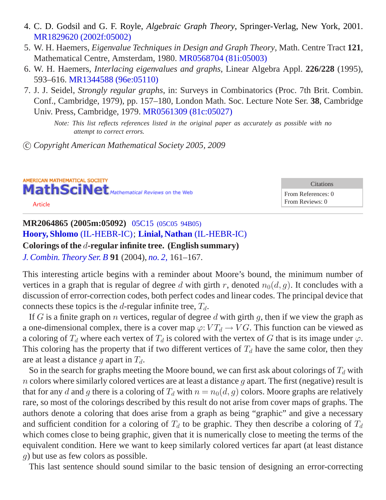- 4. C. D. Godsil and G. F. Royle, *Algebraic Graph Theory*, Springer-Verlag, New York, 2001. [MR1829620 \(2002f:05002\)](/mathscinet/pdf/1829620.pdf?pg1=MR&s1=2002f:05002&loc=fromreflist)
- 5. W. H. Haemers, *Eigenvalue Techniques in Design and Graph Theory*, Math. Centre Tract **121**, Mathematical Centre, Amsterdam, 1980. [MR0568704 \(81i:05003\)](/mathscinet/pdf/568704.pdf?pg1=MR&s1=81i:05003&loc=fromreflist)
- 6. W. H. Haemers, *Interlacing eigenvalues and graphs*, Linear Algebra Appl. **226/228** (1995), 593–616. [MR1344588 \(96e:05110\)](/mathscinet/pdf/1344588.pdf?pg1=MR&s1=96e:05110&loc=fromreflist)
- 7. J. J. Seidel, *Strongly regular graphs*, in: Surveys in Combinatorics (Proc. 7th Brit. Combin. Conf., Cambridge, 1979), pp. 157–180, London Math. Soc. Lecture Note Ser. **38**, Cambridge Univ. Press, Cambridge, 1979. [MR0561309 \(81c:05027\)](/mathscinet/pdf/561309.pdf?pg1=MR&s1=81c:05027&loc=fromreflist)

c *Copyright American Mathematical Society 2005, 2009*

AMERICAN MATHEMATICAL SOCIETY MathSciNet Mathematical Reviews on the Web [Article](/leavingmsn?url=http://dx.doi.org/10.1016/j.jctb.2003.11.004)

**Citations** From References: 0 From Reviews: 0

## **MR2064865 (2005m:05092)** 05C15 [\(05C05 94B05\)](http://ams.rice.edu/mathscinet/search/mscdoc.html?code=05C15%2C%2805C05%2C94B05%29) **[Hoory, Shlomo](http://ams.rice.edu/mathscinet/search/publications.html?pg1=IID&s1=337006)** [\(IL-HEBR-IC\)](http://ams.rice.edu/mathscinet/search/institution.html?code=IL_HEBR_IC); **[Linial, Nathan](http://ams.rice.edu/mathscinet/search/publications.html?pg1=IID&s1=114440)** [\(IL-HEBR-IC\)](http://ams.rice.edu/mathscinet/search/institution.html?code=IL_HEBR_IC) **Colorings of the** d**-regular infinite tree. (English summary)** *[J. Combin. Theory Ser. B](http://ams.rice.edu/mathscinet/search/journaldoc.html?&cn=J_Combin_Theory_Ser_B)* **91** (2004), *[no. 2,](http://ams.rice.edu/mathscinet/search/publications.html?pg1=ISSI&s1=220134)* 161*–*167.

This interesting article begins with a reminder about Moore's bound, the minimum number of vertices in a graph that is regular of degree d with girth r, denoted  $n_0(d, q)$ . It concludes with a discussion of error-correction codes, both perfect codes and linear codes. The principal device that connects these topics is the d-regular infinite tree,  $T_d$ .

If G is a finite graph on n vertices, regular of degree d with girth q, then if we view the graph as a one-dimensional complex, there is a cover map  $\varphi: VT_d \to VG$ . This function can be viewed as a coloring of  $T_d$  where each vertex of  $T_d$  is colored with the vertex of G that is its image under  $\varphi$ . This coloring has the property that if two different vertices of  $T_d$  have the same color, then they are at least a distance g apart in  $T_d$ .

So in the search for graphs meeting the Moore bound, we can first ask about colorings of  $T_d$  with n colors where similarly colored vertices are at least a distance q apart. The first (negative) result is that for any d and g there is a coloring of  $T<sub>d</sub>$  with  $n = n<sub>0</sub>(d, g)$  colors. Moore graphs are relatively rare, so most of the colorings described by this result do not arise from cover maps of graphs. The authors denote a coloring that does arise from a graph as being "graphic" and give a necessary and sufficient condition for a coloring of  $T_d$  to be graphic. They then describe a coloring of  $T_d$ which comes close to being graphic, given that it is numerically close to meeting the terms of the equivalent condition. Here we want to keep similarly colored vertices far apart (at least distance g) but use as few colors as possible.

This last sentence should sound similar to the basic tension of designing an error-correcting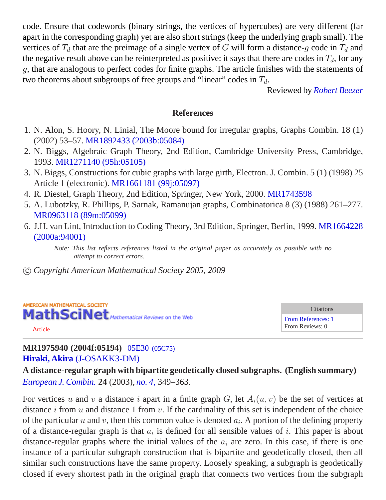code. Ensure that codewords (binary strings, the vertices of hypercubes) are very different (far apart in the corresponding graph) yet are also short strings (keep the underlying graph small). The vertices of  $T_d$  that are the preimage of a single vertex of G will form a distance-g code in  $T_d$  and the negative result above can be reinterpreted as positive: it says that there are codes in  $T<sub>d</sub>$ , for any g, that are analogous to perfect codes for finite graphs. The article finishes with the statements of two theorems about subgroups of free groups and "linear" codes in  $T_d$ .

Reviewed by *[Robert Beezer](http://ams.rice.edu/mathscinet/search/publications.html?pg1=IID&s1=213894)*

### **References**

- 1. N. Alon, S. Hoory, N. Linial, The Moore bound for irregular graphs, Graphs Combin. 18 (1) (2002) 53–57. [MR1892433 \(2003b:05084\)](/mathscinet/pdf/1892433.pdf?pg1=MR&s1=2003b:05084&loc=fromreflist)
- 2. N. Biggs, Algebraic Graph Theory, 2nd Edition, Cambridge University Press, Cambridge, 1993. [MR1271140 \(95h:05105\)](/mathscinet/pdf/1271140.pdf?pg1=MR&s1=95h:05105&loc=fromreflist)
- 3. N. Biggs, Constructions for cubic graphs with large girth, Electron. J. Combin. 5 (1) (1998) 25 Article 1 (electronic). [MR1661181 \(99j:05097\)](/mathscinet/pdf/1661181.pdf?pg1=MR&s1=99j:05097&loc=fromreflist)
- 4. R. Diestel, Graph Theory, 2nd Edition, Springer, New York, 2000. [MR1743598](http://ams.rice.edu/mathscinet/pdf/1743598.pdf?pg1=MR&s1=1743598&loc=fromreflist)
- 5. A. Lubotzky, R. Phillips, P. Sarnak, Ramanujan graphs, Combinatorica 8 (3) (1988) 261–277. [MR0963118 \(89m:05099\)](/mathscinet/pdf/963118.pdf?pg1=MR&s1=89m:05099&loc=fromreflist)
- 6. J.H. van Lint, Introduction to Coding Theory, 3rd Edition, Springer, Berlin, 1999. [MR1664228](/mathscinet/pdf/1664228.pdf?pg1=MR&s1=2000a:94001&loc=fromreflist) [\(2000a:94001\)](/mathscinet/pdf/1664228.pdf?pg1=MR&s1=2000a:94001&loc=fromreflist)

*Note: This list reflects references listed in the original paper as accurately as possible with no attempt to correct errors.*

c *Copyright American Mathematical Society 2005, 2009*



## **MR1975940 (2004f:05194)** 05E30 [\(05C75\)](http://ams.rice.edu/mathscinet/search/mscdoc.html?code=05E30%2C%2805C75%29) **[Hiraki, Akira](http://ams.rice.edu/mathscinet/search/publications.html?pg1=IID&s1=325937)** [\(J-OSAKK3-DM\)](http://ams.rice.edu/mathscinet/search/institution.html?code=J_OSAKK3_DM)

**A distance-regular graph with bipartite geodetically closed subgraphs. (English summary)** *[European J. Combin.](http://ams.rice.edu/mathscinet/search/journaldoc.html?&cn=European_J_Combin)* **24** (2003), *[no. 4,](http://ams.rice.edu/mathscinet/search/publications.html?pg1=ISSI&s1=209566)* 349*–*363.

For vertices u and v a distance i apart in a finite graph G, let  $A_i(u, v)$  be the set of vertices at distance i from u and distance 1 from v. If the cardinality of this set is independent of the choice of the particular u and v, then this common value is denoted  $a_i$ . A portion of the defining property of a distance-regular graph is that  $a_i$  is defined for all sensible values of i. This paper is about distance-regular graphs where the initial values of the  $a_i$  are zero. In this case, if there is one instance of a particular subgraph construction that is bipartite and geodetically closed, then all similar such constructions have the same property. Loosely speaking, a subgraph is geodetically closed if every shortest path in the original graph that connects two vertices from the subgraph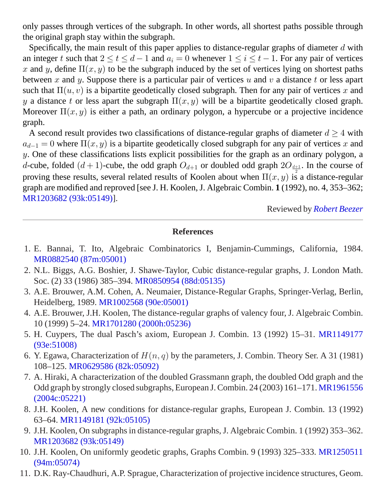only passes through vertices of the subgraph. In other words, all shortest paths possible through the original graph stay within the subgraph.

Specifically, the main result of this paper applies to distance-regular graphs of diameter  $d$  with an integer t such that  $2 \le t \le d - 1$  and  $a_i = 0$  whenever  $1 \le i \le t - 1$ . For any pair of vertices x and y, define  $\Pi(x, y)$  to be the subgraph induced by the set of vertices lying on shortest paths between x and y. Suppose there is a particular pair of vertices  $u$  and  $v$  a distance t or less apart such that  $\Pi(u, v)$  is a bipartite geodetically closed subgraph. Then for any pair of vertices x and y a distance t or less apart the subgraph  $\Pi(x, y)$  will be a bipartite geodetically closed graph. Moreover  $\Pi(x, y)$  is either a path, an ordinary polygon, a hypercube or a projective incidence graph.

A second result provides two classifications of distance-regular graphs of diameter  $d \geq 4$  with  $a_{d-1} = 0$  where  $\Pi(x, y)$  is a bipartite geodetically closed subgraph for any pair of vertices x and  $y$ . One of these classifications lists explicit possibilities for the graph as an ordinary polygon, a d-cube, folded  $(d+1)$ -cube, the odd graph  $O_{d+1}$  or doubled odd graph  $2O_{\frac{d+1}{2}}$ . In the course of proving these results, several related results of Koolen about when  $\Pi(x, y)$  is a distance-regular graph are modified and reproved [see J. H. Koolen, J. Algebraic Combin. **1** (1992), no. 4, 353–362; [MR1203682 \(93k:05149\)\]](http://ams.rice.edu/mathscinet/pdf/1203682.pdf).

Reviewed by *[Robert Beezer](http://ams.rice.edu/mathscinet/search/publications.html?pg1=IID&s1=213894)*

- 1. E. Bannai, T. Ito, Algebraic Combinatorics I, Benjamin-Cummings, California, 1984. [MR0882540 \(87m:05001\)](/mathscinet/pdf/882540.pdf?pg1=MR&s1=87m:05001&loc=fromreflist)
- 2. N.L. Biggs, A.G. Boshier, J. Shawe-Taylor, Cubic distance-regular graphs, J. London Math. Soc. (2) 33 (1986) 385–394. [MR0850954 \(88d:05135\)](/mathscinet/pdf/850954.pdf?pg1=MR&s1=88d:05135&loc=fromreflist)
- 3. A.E. Brouwer, A.M. Cohen, A. Neumaier, Distance-Regular Graphs, Springer-Verlag, Berlin, Heidelberg, 1989. [MR1002568 \(90e:05001\)](/mathscinet/pdf/1002568.pdf?pg1=MR&s1=90e:05001&loc=fromreflist)
- 4. A.E. Brouwer, J.H. Koolen, The distance-regular graphs of valency four, J. Algebraic Combin. 10 (1999) 5–24. [MR1701280 \(2000h:05236\)](/mathscinet/pdf/1701280.pdf?pg1=MR&s1=2000h:05236&loc=fromreflist)
- 5. H. Cuypers, The dual Pasch's axiom, European J. Combin. 13 (1992) 15–31. [MR1149177](/mathscinet/pdf/1149177.pdf?pg1=MR&s1=93e:51008&loc=fromreflist) [\(93e:51008\)](/mathscinet/pdf/1149177.pdf?pg1=MR&s1=93e:51008&loc=fromreflist)
- 6. Y. Egawa, Characterization of  $H(n, q)$  by the parameters, J. Combin. Theory Ser. A 31 (1981) 108–125. [MR0629586 \(82k:05092\)](/mathscinet/pdf/629586.pdf?pg1=MR&s1=82k:05092&loc=fromreflist)
- 7. A. Hiraki, A characterization of the doubled Grassmann graph, the doubled Odd graph and the Odd graph by strongly closed subgraphs, European J. Combin. 24 (2003) 161–171. [MR1961556](/mathscinet/pdf/1961556.pdf?pg1=MR&s1=2004c:05221&loc=fromreflist) [\(2004c:05221\)](/mathscinet/pdf/1961556.pdf?pg1=MR&s1=2004c:05221&loc=fromreflist)
- 8. J.H. Koolen, A new conditions for distance-regular graphs, European J. Combin. 13 (1992) 63–64. [MR1149181 \(92k:05105\)](/mathscinet/pdf/1149181.pdf?pg1=MR&s1=92k:05105&loc=fromreflist)
- 9. J.H. Koolen, On subgraphs in distance-regular graphs, J. Algebraic Combin. 1 (1992) 353–362. [MR1203682 \(93k:05149\)](/mathscinet/pdf/1203682.pdf?pg1=MR&s1=93k:05149&loc=fromreflist)
- 10. J.H. Koolen, On uniformly geodetic graphs, Graphs Combin. 9 (1993) 325–333. [MR1250511](/mathscinet/pdf/1250511.pdf?pg1=MR&s1=94m:05074&loc=fromreflist) [\(94m:05074\)](/mathscinet/pdf/1250511.pdf?pg1=MR&s1=94m:05074&loc=fromreflist)
- 11. D.K. Ray-Chaudhuri, A.P. Sprague, Characterization of projective incidence structures, Geom.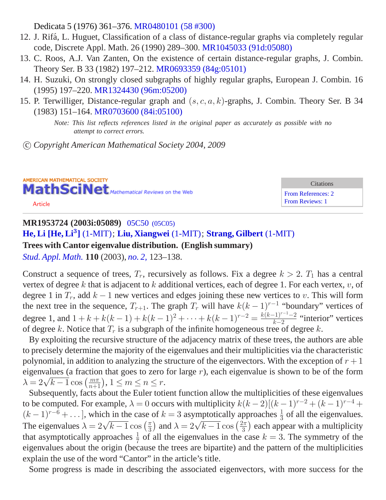Dedicata 5 (1976) 361–376. [MR0480101 \(58 #300\)](/mathscinet/pdf/480101.pdf?pg1=MR&s1=58:300&loc=fromreflist)

- 12. J. Rifá, L. Huguet, Classification of a class of distance-regular graphs via completely regular code, Discrete Appl. Math. 26 (1990) 289–300. [MR1045033 \(91d:05080\)](/mathscinet/pdf/1045033.pdf?pg1=MR&s1=91d:05080&loc=fromreflist)
- 13. C. Roos, A.J. Van Zanten, On the existence of certain distance-regular graphs, J. Combin. Theory Ser. B 33 (1982) 197–212. [MR0693359 \(84g:05101\)](/mathscinet/pdf/693359.pdf?pg1=MR&s1=84g:05101&loc=fromreflist)
- 14. H. Suzuki, On strongly closed subgraphs of highly regular graphs, European J. Combin. 16 (1995) 197–220. [MR1324430 \(96m:05200\)](/mathscinet/pdf/1324430.pdf?pg1=MR&s1=96m:05200&loc=fromreflist)
- 15. P. Terwilliger, Distance-regular graph and  $(s, c, a, k)$ -graphs, J. Combin. Theory Ser. B 34 (1983) 151–164. [MR0703600 \(84i:05100\)](/mathscinet/pdf/703600.pdf?pg1=MR&s1=84i:05100&loc=fromreflist)

*Note: This list reflects references listed in the original paper as accurately as possible with no attempt to correct errors.*

c *Copyright American Mathematical Society 2004, 2009*

AMERICAN MATHEMATICAL SOCIETY MathSciNet Mathematical Reviews on the Web

[Article](/leavingmsn?url=http://dx.doi.org/10.1111/1467-9590.00233)

Citations [From References: 2](http://ams.rice.edu/mathscinet/search/publications.html?refcit=1953724&loc=refcit) [From Reviews: 1](http://ams.rice.edu/mathscinet/search/publications.html?revcit=1953724&loc=revcit)

# **MR1953724 (2003i:05089)** 05C50 [\(05C05\)](http://ams.rice.edu/mathscinet/search/mscdoc.html?code=05C50%2C%2805C05%29) **[He, Li](http://ams.rice.edu/mathscinet/search/publications.html?pg1=IID&s1=675848) [\[He, Li](http://ams.rice.edu/mathscinet/search/publications.html?pg1=IID&s1=675848)**<sup>3</sup> **]** [\(1-MIT\)](http://ams.rice.edu/mathscinet/search/institution.html?code=1_MIT); **[Liu, Xiangwei](http://ams.rice.edu/mathscinet/search/publications.html?pg1=IID&s1=675933)** [\(1-MIT\)](http://ams.rice.edu/mathscinet/search/institution.html?code=1_MIT); **[Strang, Gilbert](http://ams.rice.edu/mathscinet/search/publications.html?pg1=IID&s1=167935)** [\(1-MIT\)](http://ams.rice.edu/mathscinet/search/institution.html?code=1_MIT) **Trees with Cantor eigenvalue distribution. (English summary)**

*[Stud. Appl. Math.](http://ams.rice.edu/mathscinet/search/journaldoc.html?&cn=Stud_Appl_Math)* **110** (2003), *[no. 2,](http://ams.rice.edu/mathscinet/search/publications.html?pg1=ISSI&s1=207143)* 123*–*138.

Construct a sequence of trees,  $T_r$ , recursively as follows. Fix a degree  $k > 2$ .  $T_1$  has a central vertex of degree k that is adjacent to k additional vertices, each of degree 1. For each vertex,  $v$ , of degree 1 in  $T_r$ , add  $k - 1$  new vertices and edges joining these new vertices to v. This will form the next tree in the sequence,  $T_{r+1}$ . The graph  $T_r$  will have  $k(k-1)^{r-1}$  "boundary" vertices of degree 1, and  $1 + k + k(k-1) + k(k-1)^2 + \cdots + k(k-1)^{r-2} = \frac{k(k-1)^{r-1}-2}{k-2}$  $\frac{(-1)^{n-1}-2}{k-2}$  "interior" vertices of degree k. Notice that  $T_r$  is a subgraph of the infinite homogeneous tree of degree k.

By exploiting the recursive structure of the adjacency matrix of these trees, the authors are able to precisely determine the majority of the eigenvalues and their multiplicities via the characteristic polynomial, in addition to analyzing the structure of the eigenvectors. With the exception of  $r + 1$ eigenvalues (a fraction that goes to zero for large  $r$ ), each eigenvalue is shown to be of the form eigenvalues (a fraction that goes to zero<br> $\lambda = 2\sqrt{k-1} \cos\left(\frac{m\pi}{n+1}\right), 1 \leq m \leq n \leq r.$ 

Subsequently, facts about the Euler totient function allow the multiplicities of these eigenvalues to be computed. For example,  $\lambda = 0$  occurs with multiplicity  $k(k-2)[(k-1)^{r-2} + (k-1)^{r-4} +$  $(k-1)^{r-6} + \ldots$ , which in the case of  $k = 3$  asymptotically approaches  $\frac{1}{3}$  of all the eigenvalues. ( $k = 1$ ) + ... ], which in the case<br>The eigenvalues  $\lambda = 2\sqrt{k-1} \cos\left(\frac{\pi}{3}\right)$  $\left(\frac{\pi}{3}\right)$  and  $\lambda = 2\sqrt{k-1} \cos\left(\frac{2\pi}{3}\right)$  $\left(\frac{2\pi}{3}\right)$  each appear with a multiplicity that asymptotically approaches  $\frac{1}{7}$  of all the eigenvalues in the case  $k = 3$ . The symmetry of the eigenvalues about the origin (because the trees are bipartite) and the pattern of the multiplicities explain the use of the word "Cantor" in the article's title.

Some progress is made in describing the associated eigenvectors, with more success for the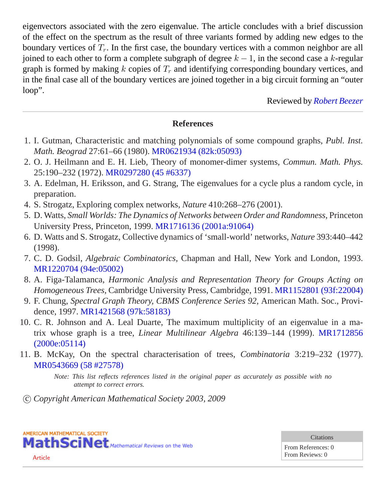eigenvectors associated with the zero eigenvalue. The article concludes with a brief discussion of the effect on the spectrum as the result of three variants formed by adding new edges to the boundary vertices of  $T_r$ . In the first case, the boundary vertices with a common neighbor are all joined to each other to form a complete subgraph of degree  $k - 1$ , in the second case a k-regular graph is formed by making k copies of  $T_r$  and identifying corresponding boundary vertices, and in the final case all of the boundary vertices are joined together in a big circuit forming an "outer loop".

Reviewed by *[Robert Beezer](http://ams.rice.edu/mathscinet/search/publications.html?pg1=IID&s1=213894)*

## **References**

- 1. I. Gutman, Characteristic and matching polynomials of some compound graphs, *Publ. Inst. Math. Beograd* 27:61–66 (1980). [MR0621934 \(82k:05093\)](/mathscinet/pdf/621934.pdf?pg1=MR&s1=82k:05093&loc=fromreflist)
- 2. O. J. Heilmann and E. H. Lieb, Theory of monomer-dimer systems, *Commun. Math. Phys.* 25:190–232 (1972). [MR0297280 \(45 #6337\)](/mathscinet/pdf/297280.pdf?pg1=MR&s1=45:6337&loc=fromreflist)
- 3. A. Edelman, H. Eriksson, and G. Strang, The eigenvalues for a cycle plus a random cycle, in preparation.
- 4. S. Strogatz, Exploring complex networks, *Nature* 410:268–276 (2001).
- 5. D. Watts, *Small Worlds: The Dynamics of Networks between Order and Randomness,* Princeton University Press, Princeton, 1999. [MR1716136 \(2001a:91064\)](/mathscinet/pdf/1716136.pdf?pg1=MR&s1=2001a:91064&loc=fromreflist)
- 6. D. Watts and S. Strogatz, Collective dynamics of 'small-world' networks, *Nature* 393:440–442 (1998).
- 7. C. D. Godsil, *Algebraic Combinatorics,* Chapman and Hall, New York and London, 1993. [MR1220704 \(94e:05002\)](/mathscinet/pdf/1220704.pdf?pg1=MR&s1=94e:05002&loc=fromreflist)
- 8. A. Figa-Talamanca, *Harmonic Analysis and Representation Theory for Groups Acting on Homogeneous Trees,* Cambridge University Press, Cambridge, 1991. [MR1152801 \(93f:22004\)](/mathscinet/pdf/1152801.pdf?pg1=MR&s1=93f:22004&loc=fromreflist)
- 9. F. Chung, *Spectral Graph Theory, CBMS Conference Series 92,* American Math. Soc., Providence, 1997. [MR1421568 \(97k:58183\)](/mathscinet/pdf/1421568.pdf?pg1=MR&s1=97k:58183&loc=fromreflist)
- 10. C. R. Johnson and A. Leal Duarte, The maximum multiplicity of an eigenvalue in a matrix whose graph is a tree, *Linear Multilinear Algebra* 46:139–144 (1999). [MR1712856](/mathscinet/pdf/1712856.pdf?pg1=MR&s1=2000e:05114&loc=fromreflist) [\(2000e:05114\)](/mathscinet/pdf/1712856.pdf?pg1=MR&s1=2000e:05114&loc=fromreflist)
- 11. B. McKay, On the spectral characterisation of trees, *Combinatoria* 3:219–232 (1977). [MR0543669 \(58 #27578\)](/mathscinet/pdf/543669.pdf?pg1=MR&s1=58:27578&loc=fromreflist)

*Note: This list reflects references listed in the original paper as accurately as possible with no attempt to correct errors.*

c *Copyright American Mathematical Society 2003, 2009*



[Article](/leavingmsn?url=http://dx.doi.org/10.2298/PIM0272039B)

**Citations** 

From References: 0 From Reviews: 0